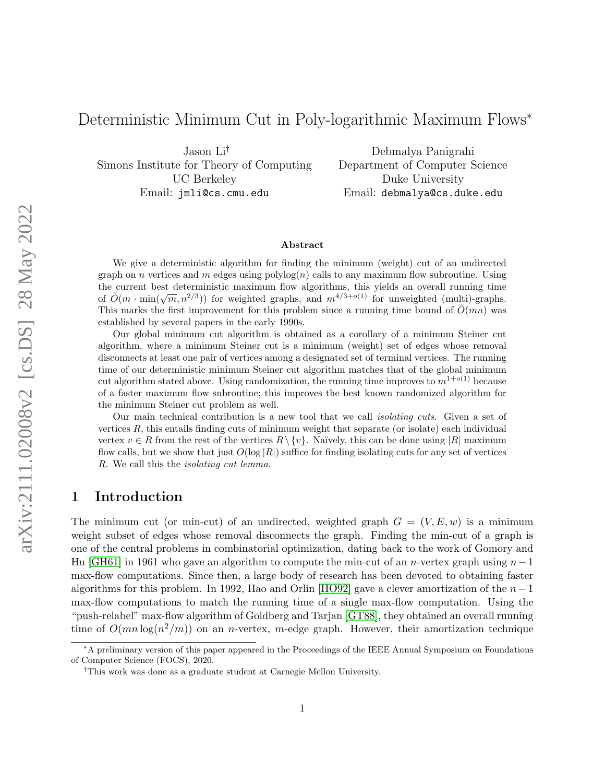# Deterministic Minimum Cut in Poly-logarithmic Maximum Flows<sup>∗</sup>

Jason Li† Simons Institute for Theory of Computing UC Berkeley Email: jmli@cs.cmu.edu

Debmalya Panigrahi Department of Computer Science Duke University Email: debmalya@cs.duke.edu

#### Abstract

We give a deterministic algorithm for finding the minimum (weight) cut of an undirected graph on n vertices and m edges using  $\text{polylog}(n)$  calls to any maximum flow subroutine. Using the current best deterministic maximum flow algorithms, this yields an overall running time of  $\tilde{O}(m \cdot \min(\sqrt{m}, n^{2/3}))$  for weighted graphs, and  $m^{4/3+o(1)}$  for unweighted (multi)-graphs. This marks the first improvement for this problem since a running time bound of  $\tilde{O}(mn)$  was established by several papers in the early 1990s.

Our global minimum cut algorithm is obtained as a corollary of a minimum Steiner cut algorithm, where a minimum Steiner cut is a minimum (weight) set of edges whose removal disconnects at least one pair of vertices among a designated set of terminal vertices. The running time of our deterministic minimum Steiner cut algorithm matches that of the global minimum cut algorithm stated above. Using randomization, the running time improves to  $m^{1+o(1)}$  because of a faster maximum flow subroutine; this improves the best known randomized algorithm for the minimum Steiner cut problem as well.

Our main technical contribution is a new tool that we call isolating cuts. Given a set of vertices  $R$ , this entails finding cuts of minimum weight that separate (or isolate) each individual vertex  $v \in R$  from the rest of the vertices  $R \setminus \{v\}$ . Naïvely, this can be done using |R| maximum flow calls, but we show that just  $O(\log |R|)$  suffice for finding isolating cuts for any set of vertices R. We call this the isolating cut lemma.

# 1 Introduction

The minimum cut (or min-cut) of an undirected, weighted graph  $G = (V, E, w)$  is a minimum weight subset of edges whose removal disconnects the graph. Finding the min-cut of a graph is one of the central problems in combinatorial optimization, dating back to the work of Gomory and Hu [\[GH61\]](#page-18-0) in 1961 who gave an algorithm to compute the min-cut of an n-vertex graph using  $n-1$ max-flow computations. Since then, a large body of research has been devoted to obtaining faster algorithms for this problem. In 1992, Hao and Orlin [\[HO92\]](#page-18-1) gave a clever amortization of the  $n-1$ max-flow computations to match the running time of a single max-flow computation. Using the "push-relabel" max-flow algorithm of Goldberg and Tarjan [\[GT88\]](#page-18-2), they obtained an overall running time of  $O(mn \log(n^2/m))$  on an *n*-vertex, *m*-edge graph. However, their amortization technique

<sup>∗</sup>A preliminary version of this paper appeared in the Proceedings of the IEEE Annual Symposium on Foundations of Computer Science (FOCS), 2020.

<sup>†</sup>This work was done as a graduate student at Carnegie Mellon University.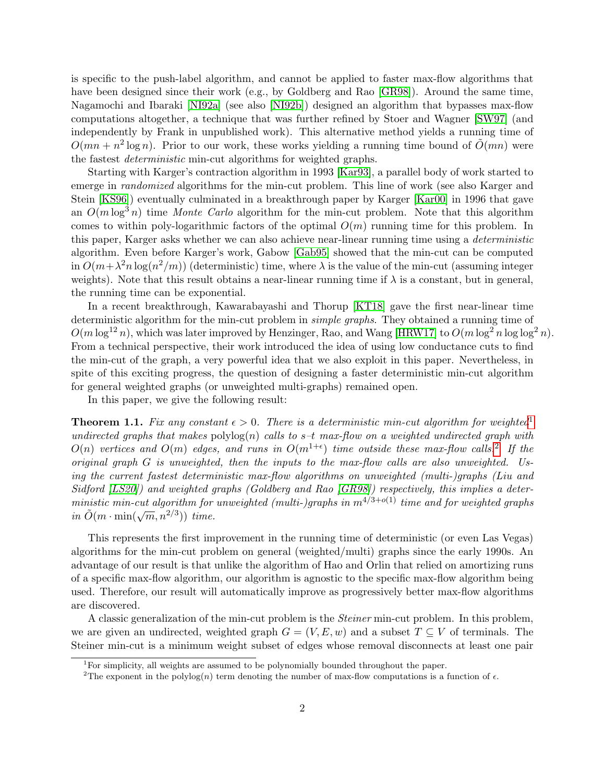is specific to the push-label algorithm, and cannot be applied to faster max-flow algorithms that have been designed since their work (e.g., by Goldberg and Rao [\[GR98\]](#page-18-3)). Around the same time, Nagamochi and Ibaraki [\[NI92a\]](#page-19-0) (see also [\[NI92b\]](#page-19-1)) designed an algorithm that bypasses max-flow computations altogether, a technique that was further refined by Stoer and Wagner [\[SW97\]](#page-20-0) (and independently by Frank in unpublished work). This alternative method yields a running time of  $O(mn + n^2 \log n)$ . Prior to our work, these works yielding a running time bound of  $O(mn)$  were the fastest deterministic min-cut algorithms for weighted graphs.

Starting with Karger's contraction algorithm in 1993 [\[Kar93\]](#page-18-4), a parallel body of work started to emerge in *randomized* algorithms for the min-cut problem. This line of work (see also Karger and Stein [\[KS96\]](#page-18-5)) eventually culminated in a breakthrough paper by Karger [\[Kar00\]](#page-18-6) in 1996 that gave an  $O(m \log^3 n)$  time Monte Carlo algorithm for the min-cut problem. Note that this algorithm comes to within poly-logarithmic factors of the optimal  $O(m)$  running time for this problem. In this paper, Karger asks whether we can also achieve near-linear running time using a deterministic algorithm. Even before Karger's work, Gabow [\[Gab95\]](#page-18-7) showed that the min-cut can be computed in  $O(m + \lambda^2 n \log(n^2/m))$  (deterministic) time, where  $\lambda$  is the value of the min-cut (assuming integer weights). Note that this result obtains a near-linear running time if  $\lambda$  is a constant, but in general, the running time can be exponential.

In a recent breakthrough, Kawarabayashi and Thorup [\[KT18\]](#page-19-2) gave the first near-linear time deterministic algorithm for the min-cut problem in simple graphs. They obtained a running time of  $O(m \log^{12} n)$ , which was later improved by Henzinger, Rao, and Wang [\[HRW17\]](#page-18-8) to  $O(m \log^2 n \log \log^2 n)$ . From a technical perspective, their work introduced the idea of using low conductance cuts to find the min-cut of the graph, a very powerful idea that we also exploit in this paper. Nevertheless, in spite of this exciting progress, the question of designing a faster deterministic min-cut algorithm for general weighted graphs (or unweighted multi-graphs) remained open.

In this paper, we give the following result:

<span id="page-1-2"></span>**Theorem [1](#page-1-0).1.** Fix any constant  $\epsilon > 0$ . There is a deterministic min-cut algorithm for weighted<sup>1</sup> undirected graphs that makes  $\text{polylog}(n)$  calls to s-t max-flow on a weighted undirected graph with  $O(n)$  vertices and  $O(m)$  edges, and runs in  $O(m^{1+\epsilon})$  time outside these max-flow calls.<sup>[2](#page-1-1)</sup> If the original graph G is unweighted, then the inputs to the max-flow calls are also unweighted. Using the current fastest deterministic max-flow algorithms on unweighted (multi-)graphs (Liu and Sidford [\[LS20\]](#page-19-3)) and weighted graphs (Goldberg and Rao [\[GR98\]](#page-18-3)) respectively, this implies a deterministic min-cut algorithm for unweighted (multi-)graphs in  $m^{4/3+o(1)}$  time and for weighted graphs  $\tilde{m}$  in  $\tilde{O}(m \cdot \min(\sqrt{m}, n^{2/3}))$  time.

This represents the first improvement in the running time of deterministic (or even Las Vegas) algorithms for the min-cut problem on general (weighted/multi) graphs since the early 1990s. An advantage of our result is that unlike the algorithm of Hao and Orlin that relied on amortizing runs of a specific max-flow algorithm, our algorithm is agnostic to the specific max-flow algorithm being used. Therefore, our result will automatically improve as progressively better max-flow algorithms are discovered.

A classic generalization of the min-cut problem is the *Steiner* min-cut problem. In this problem, we are given an undirected, weighted graph  $G = (V, E, w)$  and a subset  $T \subseteq V$  of terminals. The Steiner min-cut is a minimum weight subset of edges whose removal disconnects at least one pair

<span id="page-1-0"></span><sup>&</sup>lt;sup>1</sup>For simplicity, all weights are assumed to be polynomially bounded throughout the paper.

<span id="page-1-1"></span><sup>&</sup>lt;sup>2</sup>The exponent in the polylog(n) term denoting the number of max-flow computations is a function of  $\epsilon$ .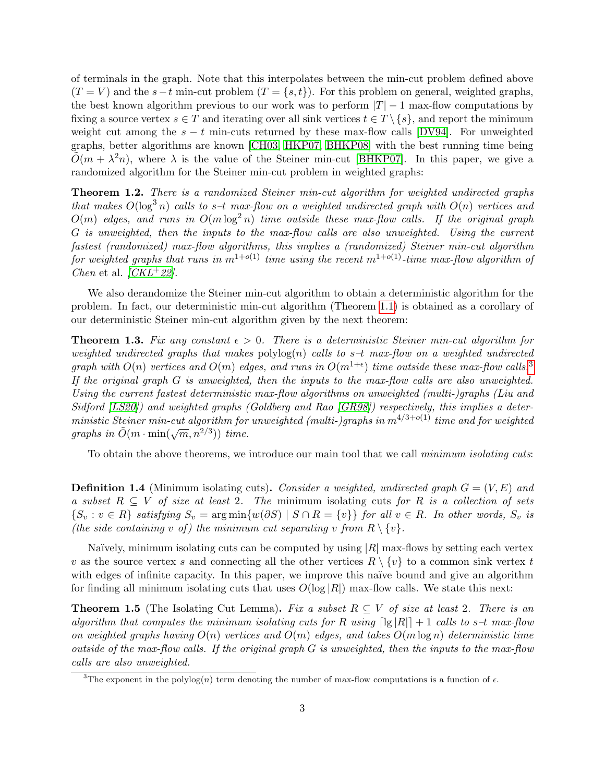of terminals in the graph. Note that this interpolates between the min-cut problem defined above  $(T = V)$  and the s−t min-cut problem  $(T = \{s, t\})$ . For this problem on general, weighted graphs, the best known algorithm previous to our work was to perform  $|T| - 1$  max-flow computations by fixing a source vertex  $s \in T$  and iterating over all sink vertices  $t \in T \setminus \{s\}$ , and report the minimum weight cut among the  $s - t$  min-cuts returned by these max-flow calls [\[DV94\]](#page-18-9). For unweighted graphs, better algorithms are known [\[CH03,](#page-17-0) [HKP07,](#page-18-10) [BHKP08\]](#page-17-1) with the best running time being  $\tilde{O}(m + \lambda^2 n)$ , where  $\lambda$  is the value of the Steiner min-cut [\[BHKP07\]](#page-17-2). In this paper, we give a randomized algorithm for the Steiner min-cut problem in weighted graphs:

Theorem 1.2. There is a randomized Steiner min-cut algorithm for weighted undirected graphs that makes  $O(\log^3 n)$  calls to s-t max-flow on a weighted undirected graph with  $O(n)$  vertices and  $O(m)$  edges, and runs in  $O(m \log^2 n)$  time outside these max-flow calls. If the original graph G is unweighted, then the inputs to the max-flow calls are also unweighted. Using the current fastest (randomized) max-flow algorithms, this implies a (randomized) Steiner min-cut algorithm for weighted graphs that runs in  $m^{1+o(1)}$  time using the recent  $m^{1+o(1)}$ -time max-flow algorithm of *Chen* et al.  $/CKL+22$ .

We also derandomize the Steiner min-cut algorithm to obtain a deterministic algorithm for the problem. In fact, our deterministic min-cut algorithm (Theorem [1.1\)](#page-1-2) is obtained as a corollary of our deterministic Steiner min-cut algorithm given by the next theorem:

<span id="page-2-1"></span>**Theorem 1.3.** Fix any constant  $\epsilon > 0$ . There is a deterministic Steiner min-cut algorithm for weighted undirected graphs that makes  $\text{polylog}(n)$  calls to s-t max-flow on a weighted undirected graph with  $O(n)$  vertices and  $O(m)$  edges, and runs in  $O(m^{1+\epsilon})$  time outside these max-flow calls.<sup>[3](#page-2-0)</sup> If the original graph G is unweighted, then the inputs to the max-flow calls are also unweighted. Using the current fastest deterministic max-flow algorithms on unweighted (multi-)graphs (Liu and Sidford [\[LS20\]](#page-19-3)) and weighted graphs (Goldberg and Rao [\[GR98\]](#page-18-3)) respectively, this implies a deterministic Steiner min-cut algorithm for unweighted (multi-)graphs in  $m^{4/3+o(1)}$  time and for weighted ministic stemer min-call algorithm for<br>graphs in  $\tilde{O}(m \cdot \min(\sqrt{m}, n^{2/3}))$  time.

To obtain the above theorems, we introduce our main tool that we call minimum isolating cuts:

**Definition 1.4** (Minimum isolating cuts). Consider a weighted, undirected graph  $G = (V, E)$  and a subset  $R \subseteq V$  of size at least 2. The minimum isolating cuts for R is a collection of sets  $\{S_v : v \in R\}$  satisfying  $S_v = \arg \min \{w(\partial S) \mid S \cap R = \{v\}\}\$ for all  $v \in R$ . In other words,  $S_v$  is (the side containing v of) the minimum cut separating v from  $R \setminus \{v\}$ .

Naïvely, minimum isolating cuts can be computed by using  $|R|$  max-flows by setting each vertex v as the source vertex s and connecting all the other vertices  $R \setminus \{v\}$  to a common sink vertex t with edges of infinite capacity. In this paper, we improve this naïve bound and give an algorithm for finding all minimum isolating cuts that uses  $O(\log |R|)$  max-flow calls. We state this next:

**Theorem 1.5** (The Isolating Cut Lemma). Fix a subset  $R \subseteq V$  of size at least 2. There is an algorithm that computes the minimum isolating cuts for R using  $\lceil \lg |R| \rceil + 1$  calls to s-t max-flow on weighted graphs having  $O(n)$  vertices and  $O(m)$  edges, and takes  $O(m \log n)$  deterministic time outside of the max-flow calls. If the original graph  $G$  is unweighted, then the inputs to the max-flow calls are also unweighted.

<span id="page-2-0"></span><sup>&</sup>lt;sup>3</sup>The exponent in the polylog(n) term denoting the number of max-flow computations is a function of  $\epsilon$ .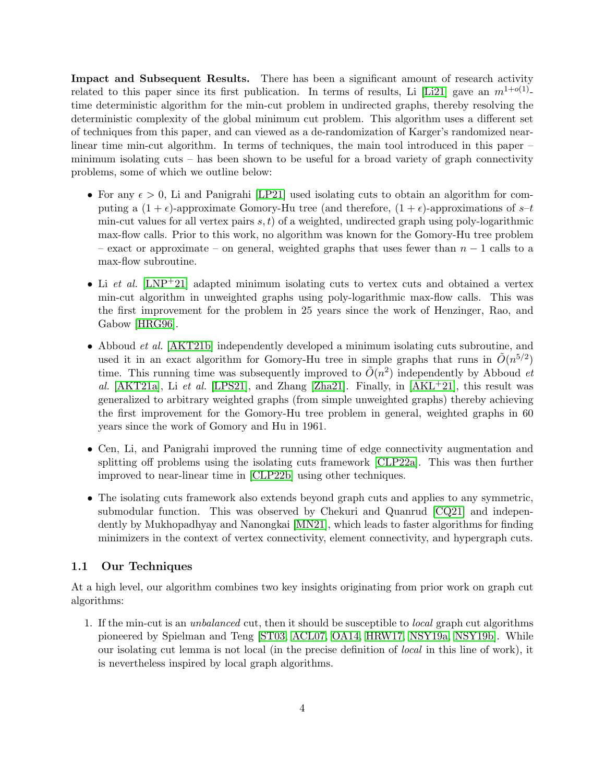Impact and Subsequent Results. There has been a significant amount of research activity related to this paper since its first publication. In terms of results, Li [\[Li21\]](#page-19-4) gave an  $m^{1+o(1)}$ time deterministic algorithm for the min-cut problem in undirected graphs, thereby resolving the deterministic complexity of the global minimum cut problem. This algorithm uses a different set of techniques from this paper, and can viewed as a de-randomization of Karger's randomized nearlinear time min-cut algorithm. In terms of techniques, the main tool introduced in this paper – minimum isolating cuts – has been shown to be useful for a broad variety of graph connectivity problems, some of which we outline below:

- For any  $\epsilon > 0$ , Li and Panigrahi [\[LP21\]](#page-19-5) used isolating cuts to obtain an algorithm for computing a  $(1 + \epsilon)$ -approximate Gomory-Hu tree (and therefore,  $(1 + \epsilon)$ -approximations of  $s$ -t min-cut values for all vertex pairs  $s, t$  of a weighted, undirected graph using poly-logarithmic max-flow calls. Prior to this work, no algorithm was known for the Gomory-Hu tree problem – exact or approximate – on general, weighted graphs that uses fewer than  $n-1$  calls to a max-flow subroutine.
- Li et al.  $[LNP+21]$  $[LNP+21]$  adapted minimum isolating cuts to vertex cuts and obtained a vertex min-cut algorithm in unweighted graphs using poly-logarithmic max-flow calls. This was the first improvement for the problem in 25 years since the work of Henzinger, Rao, and Gabow [\[HRG96\]](#page-18-11).
- Abboud *et al.* [\[AKT21b\]](#page-17-4) independently developed a minimum isolating cuts subroutine, and used it in an exact algorithm for Gomory-Hu tree in simple graphs that runs in  $\tilde{O}(n^{5/2})$ time. This running time was subsequently improved to  $\tilde{O}(n^2)$  independently by Abboud *et* al.  $[AKT21a]$ , Li et al.  $[LPS21]$ , and Zhang  $[Zha21]$ . Finally, in  $[AKL+21]$  $[AKL+21]$ , this result was generalized to arbitrary weighted graphs (from simple unweighted graphs) thereby achieving the first improvement for the Gomory-Hu tree problem in general, weighted graphs in 60 years since the work of Gomory and Hu in 1961.
- Cen, Li, and Panigrahi improved the running time of edge connectivity augmentation and splitting off problems using the isolating cuts framework [\[CLP22a\]](#page-17-7). This was then further improved to near-linear time in [\[CLP22b\]](#page-17-8) using other techniques.
- The isolating cuts framework also extends beyond graph cuts and applies to any symmetric, submodular function. This was observed by Chekuri and Quanrud [\[CQ21\]](#page-18-12) and independently by Mukhopadhyay and Nanongkai [\[MN21\]](#page-19-8), which leads to faster algorithms for finding minimizers in the context of vertex connectivity, element connectivity, and hypergraph cuts.

### <span id="page-3-0"></span>1.1 Our Techniques

At a high level, our algorithm combines two key insights originating from prior work on graph cut algorithms:

1. If the min-cut is an unbalanced cut, then it should be susceptible to local graph cut algorithms pioneered by Spielman and Teng [\[ST03,](#page-20-2) [ACL07,](#page-16-0) [OA14,](#page-20-3) [HRW17,](#page-18-8) [NSY19a,](#page-19-9) [NSY19b\]](#page-20-4). While our isolating cut lemma is not local (in the precise definition of local in this line of work), it is nevertheless inspired by local graph algorithms.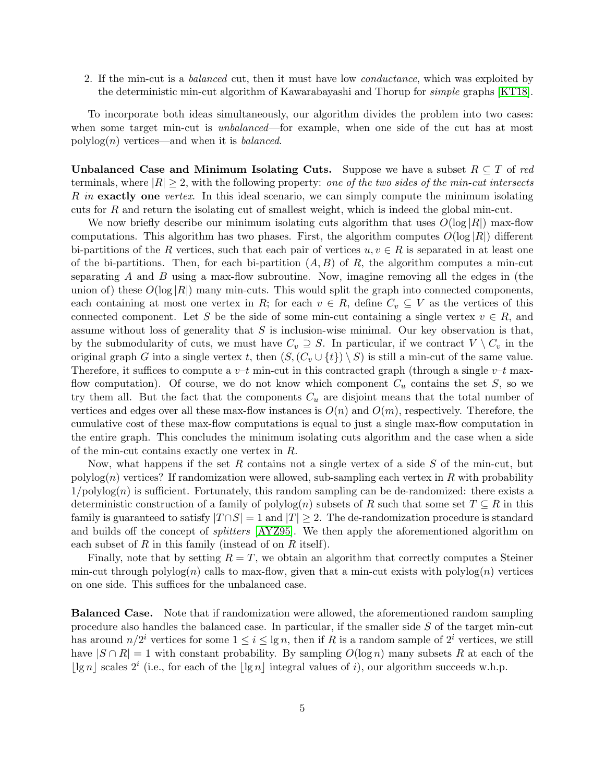2. If the min-cut is a balanced cut, then it must have low conductance, which was exploited by the deterministic min-cut algorithm of Kawarabayashi and Thorup for simple graphs [\[KT18\]](#page-19-2).

To incorporate both ideas simultaneously, our algorithm divides the problem into two cases: when some target min-cut is *unbalanced*—for example, when one side of the cut has at most polylog $(n)$  vertices—and when it is *balanced*.

Unbalanced Case and Minimum Isolating Cuts. Suppose we have a subset  $R \subseteq T$  of red terminals, where  $|R| \geq 2$ , with the following property: one of the two sides of the min-cut intersects R in exactly one vertex. In this ideal scenario, we can simply compute the minimum isolating cuts for R and return the isolating cut of smallest weight, which is indeed the global min-cut.

We now briefly describe our minimum isolating cuts algorithm that uses  $O(\log |R|)$  max-flow computations. This algorithm has two phases. First, the algorithm computes  $O(\log |R|)$  different bi-partitions of the R vertices, such that each pair of vertices  $u, v \in R$  is separated in at least one of the bi-partitions. Then, for each bi-partition  $(A, B)$  of R, the algorithm computes a min-cut separating  $A$  and  $B$  using a max-flow subroutine. Now, imagine removing all the edges in (the union of) these  $O(\log |R|)$  many min-cuts. This would split the graph into connected components, each containing at most one vertex in R; for each  $v \in R$ , define  $C_v \subseteq V$  as the vertices of this connected component. Let S be the side of some min-cut containing a single vertex  $v \in R$ , and assume without loss of generality that  $S$  is inclusion-wise minimal. Our key observation is that, by the submodularity of cuts, we must have  $C_v \supseteq S$ . In particular, if we contract  $V \setminus C_v$  in the original graph G into a single vertex t, then  $(S,(C_v \cup \{t\}) \setminus S)$  is still a min-cut of the same value. Therefore, it suffices to compute a  $v-t$  min-cut in this contracted graph (through a single  $v-t$  maxflow computation). Of course, we do not know which component  $C_u$  contains the set S, so we try them all. But the fact that the components  $C_u$  are disjoint means that the total number of vertices and edges over all these max-flow instances is  $O(n)$  and  $O(m)$ , respectively. Therefore, the cumulative cost of these max-flow computations is equal to just a single max-flow computation in the entire graph. This concludes the minimum isolating cuts algorithm and the case when a side of the min-cut contains exactly one vertex in R.

Now, what happens if the set R contains not a single vertex of a side  $S$  of the min-cut, but polylog(n) vertices? If randomization were allowed, sub-sampling each vertex in  $R$  with probability  $1/polylog(n)$  is sufficient. Fortunately, this random sampling can be de-randomized: there exists a deterministic construction of a family of polylog(n) subsets of R such that some set  $T \subseteq R$  in this family is guaranteed to satisfy  $|T \cap S| = 1$  and  $|T| \geq 2$ . The de-randomization procedure is standard and builds off the concept of *splitters* [\[AYZ95\]](#page-17-9). We then apply the aforementioned algorithm on each subset of R in this family (instead of on R itself).

Finally, note that by setting  $R = T$ , we obtain an algorithm that correctly computes a Steiner min-cut through polylog(n) calls to max-flow, given that a min-cut exists with polylog(n) vertices on one side. This suffices for the unbalanced case.

Balanced Case. Note that if randomization were allowed, the aforementioned random sampling procedure also handles the balanced case. In particular, if the smaller side S of the target min-cut has around  $n/2^i$  vertices for some  $1 \leq i \leq \lg n$ , then if R is a random sample of  $2^i$  vertices, we still have  $|S \cap R| = 1$  with constant probability. By sampling  $O(\log n)$  many subsets R at each of the  $|\lg n|$  scales  $2^i$  (i.e., for each of the  $|\lg n|$  integral values of i), our algorithm succeeds w.h.p.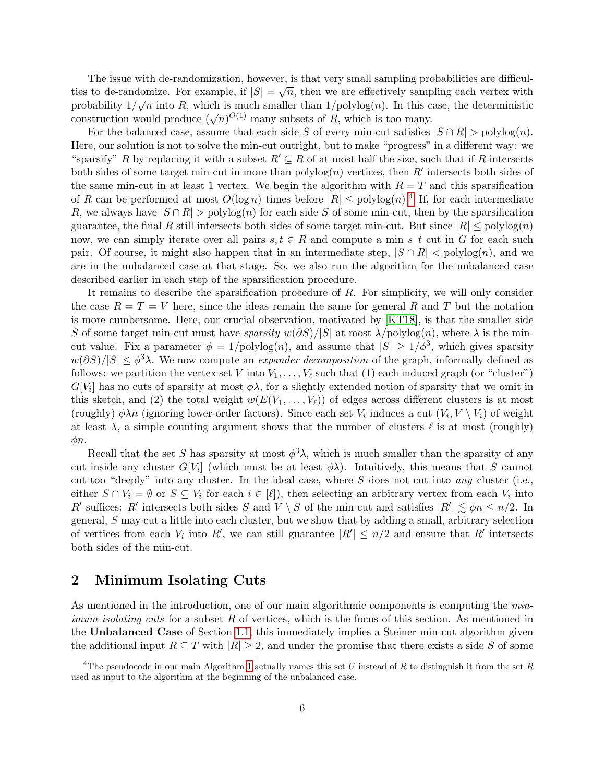The issue with de-randomization, however, is that very small sampling probabilities are difficulties to de-randomize. For example, if  $|S| = \sqrt{n}$ , then we are effectively sampling each vertex with probability  $1/\sqrt{n}$  into R, which is much smaller than  $1/\text{polylog}(n)$ . In this case, the deterministic probability  $1/\sqrt{n}$  into  $\pi$ , which is finally subsets of  $R$ , which is too many.<br>construction would produce  $(\sqrt{n})^{O(1)}$  many subsets of  $R$ , which is too many.

For the balanced case, assume that each side S of every min-cut satisfies  $|S \cap R| > \text{polylog}(n)$ . Here, our solution is not to solve the min-cut outright, but to make "progress" in a different way: we "sparsify" R by replacing it with a subset  $R' \subseteq R$  of at most half the size, such that if R intersects both sides of some target min-cut in more than  $\text{polylog}(n)$  vertices, then R' intersects both sides of the same min-cut in at least 1 vertex. We begin the algorithm with  $R = T$  and this sparsification of R can be performed at most  $O(\log n)$  times before  $|R| \leq \text{polylog}(n)$ .<sup>[4](#page-5-0)</sup> If, for each intermediate R, we always have  $|S \cap R| > \text{polylog}(n)$  for each side S of some min-cut, then by the sparsification guarantee, the final R still intersects both sides of some target min-cut. But since  $|R| \leq \text{polylog}(n)$ now, we can simply iterate over all pairs  $s, t \in R$  and compute a min s–t cut in G for each such pair. Of course, it might also happen that in an intermediate step,  $|S \cap R| < \text{polylog}(n)$ , and we are in the unbalanced case at that stage. So, we also run the algorithm for the unbalanced case described earlier in each step of the sparsification procedure.

It remains to describe the sparsification procedure of R. For simplicity, we will only consider the case  $R = T = V$  here, since the ideas remain the same for general R and T but the notation is more cumbersome. Here, our crucial observation, motivated by [\[KT18\]](#page-19-2), is that the smaller side S of some target min-cut must have sparsity  $w(\partial S)/|S|$  at most  $\lambda/\text{polylog}(n)$ , where  $\lambda$  is the mincut value. Fix a parameter  $\phi = 1/\text{polylog}(n)$ , and assume that  $|S| \geq 1/\phi^3$ , which gives sparsity  $w(\partial S)/|S| \leq \phi^3 \lambda$ . We now compute an *expander decomposition* of the graph, informally defined as follows: we partition the vertex set V into  $V_1, \ldots, V_\ell$  such that (1) each induced graph (or "cluster")  $G[V_i]$  has no cuts of sparsity at most  $\phi\lambda$ , for a slightly extended notion of sparsity that we omit in this sketch, and (2) the total weight  $w(E(V_1, \ldots, V_\ell))$  of edges across different clusters is at most (roughly)  $\phi \lambda n$  (ignoring lower-order factors). Since each set  $V_i$  induces a cut  $(V_i, V \setminus V_i)$  of weight at least  $\lambda$ , a simple counting argument shows that the number of clusters  $\ell$  is at most (roughly)  $\phi n$ .

Recall that the set S has sparsity at most  $\phi^3 \lambda$ , which is much smaller than the sparsity of any cut inside any cluster  $G[V_i]$  (which must be at least  $\phi \lambda$ ). Intuitively, this means that S cannot cut too "deeply" into any cluster. In the ideal case, where  $S$  does not cut into any cluster (i.e., either  $S \cap V_i = \emptyset$  or  $S \subseteq V_i$  for each  $i \in [\ell]$ , then selecting an arbitrary vertex from each  $V_i$  into R' suffices: R' intersects both sides S and  $V \setminus S$  of the min-cut and satisfies  $|R'| \lesssim \phi n \le n/2$ . In general, S may cut a little into each cluster, but we show that by adding a small, arbitrary selection of vertices from each  $V_i$  into  $R'$ , we can still guarantee  $|R'| \leq n/2$  and ensure that  $R'$  intersects both sides of the min-cut.

# 2 Minimum Isolating Cuts

As mentioned in the introduction, one of our main algorithmic components is computing the *minimum isolating cuts* for a subset R of vertices, which is the focus of this section. As mentioned in the Unbalanced Case of Section [1.1,](#page-3-0) this immediately implies a Steiner min-cut algorithm given the additional input  $R \subseteq T$  with  $|R| \geq 2$ , and under the promise that there exists a side S of some

<span id="page-5-0"></span><sup>&</sup>lt;sup>4</sup>The pseudocode in our main Algorithm [1](#page-10-0) actually names this set U instead of R to distinguish it from the set R used as input to the algorithm at the beginning of the unbalanced case.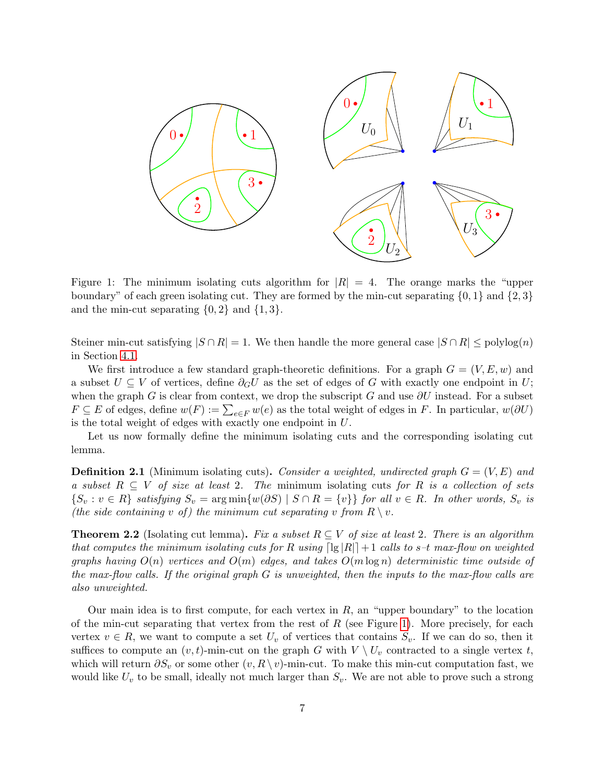<span id="page-6-0"></span>

Figure 1: The minimum isolating cuts algorithm for  $|R| = 4$ . The orange marks the "upper boundary" of each green isolating cut. They are formed by the min-cut separating  $\{0, 1\}$  and  $\{2, 3\}$ and the min-cut separating  $\{0, 2\}$  and  $\{1, 3\}$ .

Steiner min-cut satisfying  $|S \cap R| = 1$ . We then handle the more general case  $|S \cap R| \leq \text{polylog}(n)$ in Section [4.1.](#page-9-0)

We first introduce a few standard graph-theoretic definitions. For a graph  $G = (V, E, w)$  and a subset  $U \subseteq V$  of vertices, define  $\partial_G U$  as the set of edges of G with exactly one endpoint in U; when the graph G is clear from context, we drop the subscript G and use  $\partial U$  instead. For a subset  $F \subseteq E$  of edges, define  $w(F) := \sum_{e \in F} w(e)$  as the total weight of edges in F. In particular,  $w(\partial U)$ is the total weight of edges with exactly one endpoint in U.

Let us now formally define the minimum isolating cuts and the corresponding isolating cut lemma.

**Definition 2.1** (Minimum isolating cuts). Consider a weighted, undirected graph  $G = (V, E)$  and a subset  $R \subseteq V$  of size at least 2. The minimum isolating cuts for R is a collection of sets  $\{S_v : v \in R\}$  satisfying  $S_v = \arg \min \{w(\partial S) \mid S \cap R = \{v\}\}\$ for all  $v \in R$ . In other words,  $S_v$  is (the side containing v of) the minimum cut separating v from  $R \setminus v$ .

<span id="page-6-1"></span>**Theorem 2.2** (Isolating cut lemma). Fix a subset  $R \subseteq V$  of size at least 2. There is an algorithm that computes the minimum isolating cuts for R using  $\lceil \lg |R| \rceil + 1$  calls to s–t max-flow on weighted graphs having  $O(n)$  vertices and  $O(m)$  edges, and takes  $O(m \log n)$  deterministic time outside of the max-flow calls. If the original graph  $G$  is unweighted, then the inputs to the max-flow calls are also unweighted.

Our main idea is to first compute, for each vertex in  $R$ , an "upper boundary" to the location of the min-cut separating that vertex from the rest of  $R$  (see Figure [1\)](#page-6-0). More precisely, for each vertex  $v \in R$ , we want to compute a set  $U_v$  of vertices that contains  $S_v$ . If we can do so, then it suffices to compute an  $(v, t)$ -min-cut on the graph G with  $V \setminus U_v$  contracted to a single vertex t, which will return  $\partial S_v$  or some other  $(v, R \setminus v)$ -min-cut. To make this min-cut computation fast, we would like  $U_v$  to be small, ideally not much larger than  $S_v$ . We are not able to prove such a strong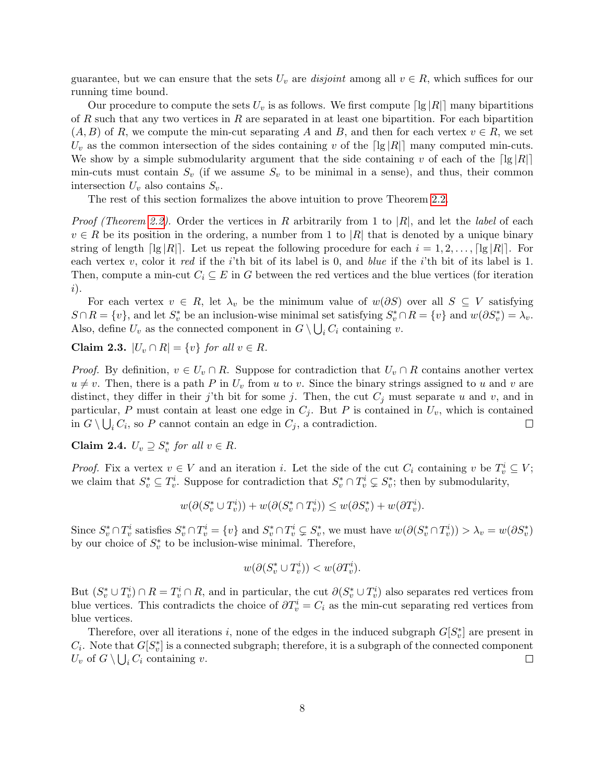guarantee, but we can ensure that the sets  $U_v$  are *disjoint* among all  $v \in R$ , which suffices for our running time bound.

Our procedure to compute the sets  $U_v$  is as follows. We first compute  $\lceil \lg |R| \rceil$  many bipartitions of R such that any two vertices in R are separated in at least one bipartition. For each bipartition  $(A, B)$  of R, we compute the min-cut separating A and B, and then for each vertex  $v \in R$ , we set  $U_v$  as the common intersection of the sides containing v of the [lg |R|] many computed min-cuts. We show by a simple submodularity argument that the side containing v of each of the  $\lceil \lg |R| \rceil$ min-cuts must contain  $S_v$  (if we assume  $S_v$  to be minimal in a sense), and thus, their common intersection  $U_v$  also contains  $S_v$ .

The rest of this section formalizes the above intuition to prove Theorem [2.2.](#page-6-1)

*Proof (Theorem [2.2\)](#page-6-1).* Order the vertices in R arbitrarily from 1 to |R|, and let the *label* of each  $v \in R$  be its position in the ordering, a number from 1 to |R| that is denoted by a unique binary string of length  $\lceil \lg |R| \rceil$ . Let us repeat the following procedure for each  $i = 1, 2, \ldots, \lceil \lg |R| \rceil$ . For each vertex v, color it red if the i'th bit of its label is 0, and blue if the i'th bit of its label is 1. Then, compute a min-cut  $C_i \subseteq E$  in G between the red vertices and the blue vertices (for iteration i).

For each vertex  $v \in R$ , let  $\lambda_v$  be the minimum value of  $w(\partial S)$  over all  $S \subseteq V$  satisfying  $S \cap R = \{v\}$ , and let  $S_v^*$  be an inclusion-wise minimal set satisfying  $S_v^* \cap R = \{v\}$  and  $w(\partial S_v^*) = \lambda_v$ . Also, define  $U_v$  as the connected component in  $G \setminus \bigcup_i C_i$  containing v.

<span id="page-7-0"></span>Claim 2.3.  $|U_v \cap R| = \{v\}$  for all  $v \in R$ .

*Proof.* By definition,  $v \in U_v \cap R$ . Suppose for contradiction that  $U_v \cap R$  contains another vertex  $u \neq v$ . Then, there is a path P in  $U_v$  from u to v. Since the binary strings assigned to u and v are distinct, they differ in their j'th bit for some j. Then, the cut  $C_j$  must separate u and v, and in particular, P must contain at least one edge in  $C_i$ . But P is contained in  $U_v$ , which is contained in  $G \setminus \bigcup_i C_i$ , so P cannot contain an edge in  $C_j$ , a contradiction.  $\Box$ 

<span id="page-7-1"></span>Claim 2.4.  $U_v \supseteq S_v^*$  for all  $v \in R$ .

*Proof.* Fix a vertex  $v \in V$  and an iteration i. Let the side of the cut  $C_i$  containing v be  $T_v^i \subseteq V$ ; we claim that  $S_v^* \subseteq T_v^i$ . Suppose for contradiction that  $S_v^* \cap T_v^i \subsetneq S_v^*$ ; then by submodularity,

$$
w(\partial (S_v^* \cup T_v^i)) + w(\partial (S_v^* \cap T_v^i)) \leq w(\partial S_v^*) + w(\partial T_v^i).
$$

Since  $S_v^* \cap T_v^i$  satisfies  $S_v^* \cap T_v^i = \{v\}$  and  $S_v^* \cap T_v^i \subsetneq S_v^*$ , we must have  $w(\partial (S_v^* \cap T_v^i)) > \lambda_v = w(\partial S_v^*)$ by our choice of  $S_v^*$  to be inclusion-wise minimal. Therefore,

$$
w(\partial (S_v^* \cup T_v^i)) < w(\partial T_v^i).
$$

But  $(S_v^* \cup T_v^i) \cap R = T_v^i \cap R$ , and in particular, the cut  $\partial(S_v^* \cup T_v^i)$  also separates red vertices from blue vertices. This contradicts the choice of  $\partial T_v^i = C_i$  as the min-cut separating red vertices from blue vertices.

Therefore, over all iterations i, none of the edges in the induced subgraph  $G[S_v^*]$  are present in  $C_i$ . Note that  $G[S_v^*]$  is a connected subgraph; therefore, it is a subgraph of the connected component  $U_v$  of  $G \setminus \bigcup_i C_i$  containing v.  $\Box$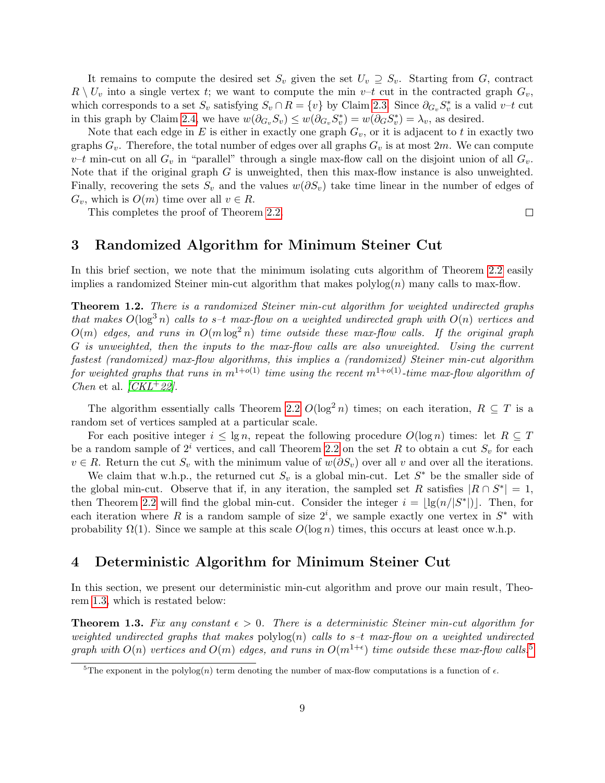It remains to compute the desired set  $S_v$  given the set  $U_v \supseteq S_v$ . Starting from G, contract  $R \setminus U_v$  into a single vertex t; we want to compute the min  $v-t$  cut in the contracted graph  $G_v$ , which corresponds to a set  $S_v$  satisfying  $S_v \cap R = \{v\}$  by Claim [2.3.](#page-7-0) Since  $\partial_{G_v} S_v^*$  is a valid v–t cut in this graph by Claim [2.4,](#page-7-1) we have  $w(\partial_{G_v} S_v) \leq w(\partial_{G_v} S_v^*) = w(\partial_G S_v^*) = \lambda_v$ , as desired.

Note that each edge in E is either in exactly one graph  $G_v$ , or it is adjacent to t in exactly two graphs  $G_v$ . Therefore, the total number of edges over all graphs  $G_v$  is at most  $2m$ . We can compute  $v-t$  min-cut on all  $G_v$  in "parallel" through a single max-flow call on the disjoint union of all  $G_v$ . Note that if the original graph  $G$  is unweighted, then this max-flow instance is also unweighted. Finally, recovering the sets  $S_v$  and the values  $w(\partial S_v)$  take time linear in the number of edges of  $G_v$ , which is  $O(m)$  time over all  $v \in R$ .

This completes the proof of Theorem [2.2.](#page-6-1)

### $\Box$

# 3 Randomized Algorithm for Minimum Steiner Cut

In this brief section, we note that the minimum isolating cuts algorithm of Theorem [2.2](#page-6-1) easily implies a randomized Steiner min-cut algorithm that makes  $polylog(n)$  many calls to max-flow.

Theorem 1.2. There is a randomized Steiner min-cut algorithm for weighted undirected graphs that makes  $O(\log^3 n)$  calls to s-t max-flow on a weighted undirected graph with  $O(n)$  vertices and  $O(m)$  edges, and runs in  $O(m \log^2 n)$  time outside these max-flow calls. If the original graph G is unweighted, then the inputs to the max-flow calls are also unweighted. Using the current fastest (randomized) max-flow algorithms, this implies a (randomized) Steiner min-cut algorithm for weighted graphs that runs in  $m^{1+o(1)}$  time using the recent  $m^{1+o(1)}$ -time max-flow algorithm of Chen et al.  $/CKL+22$ .

The algorithm essentially calls Theorem [2.2](#page-6-1)  $O(\log^2 n)$  times; on each iteration,  $R \subseteq T$  is a random set of vertices sampled at a particular scale.

For each positive integer  $i \le \lg n$ , repeat the following procedure  $O(\log n)$  times: let  $R \subseteq T$ be a random sample of  $2<sup>i</sup>$  vertices, and call Theorem [2.2](#page-6-1) on the set R to obtain a cut  $S_v$  for each  $v \in R$ . Return the cut  $S_v$  with the minimum value of  $w(\partial S_v)$  over all v and over all the iterations.

We claim that w.h.p., the returned cut  $S_v$  is a global min-cut. Let  $S^*$  be the smaller side of the global min-cut. Observe that if, in any iteration, the sampled set R satisfies  $|R \cap S^*| = 1$ , then Theorem [2.2](#page-6-1) will find the global min-cut. Consider the integer  $i = |lg(n/|S^*|)|$ . Then, for each iteration where R is a random sample of size  $2^i$ , we sample exactly one vertex in  $S^*$  with probability  $\Omega(1)$ . Since we sample at this scale  $O(\log n)$  times, this occurs at least once w.h.p.

# 4 Deterministic Algorithm for Minimum Steiner Cut

In this section, we present our deterministic min-cut algorithm and prove our main result, Theorem [1.3,](#page-2-1) which is restated below:

**Theorem 1.3.** Fix any constant  $\epsilon > 0$ . There is a deterministic Steiner min-cut algorithm for weighted undirected graphs that makes  $\text{polylog}(n)$  calls to s-t max-flow on a weighted undirected graph with  $O(n)$  vertices and  $O(m)$  edges, and runs in  $O(m^{1+\epsilon})$  time outside these max-flow calls.<sup>[5](#page-8-0)</sup>

<span id="page-8-0"></span><sup>&</sup>lt;sup>5</sup>The exponent in the polylog(n) term denoting the number of max-flow computations is a function of  $\epsilon$ .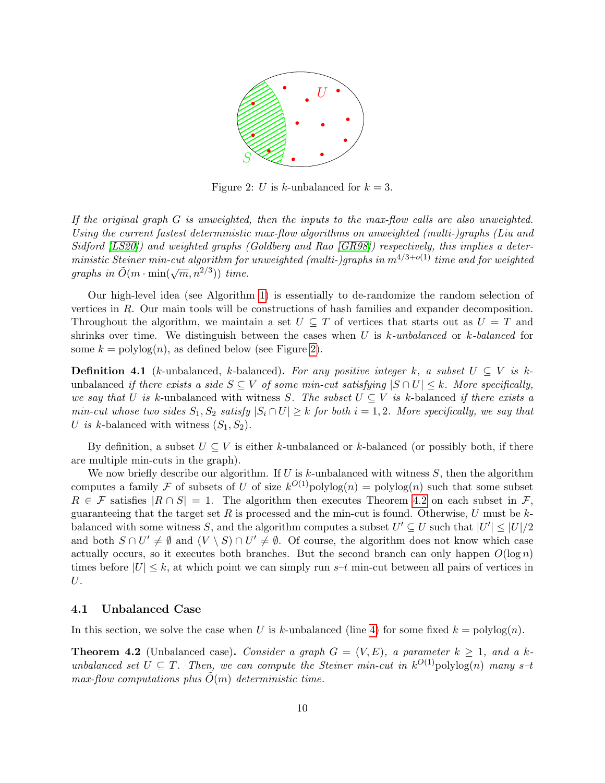

<span id="page-9-1"></span>Figure 2: U is k-unbalanced for  $k = 3$ .

If the original graph G is unweighted, then the inputs to the max-flow calls are also unweighted. Using the current fastest deterministic max-flow algorithms on unweighted (multi-)graphs (Liu and Sidford [\[LS20\]](#page-19-3)) and weighted graphs (Goldberg and Rao [\[GR98\]](#page-18-3)) respectively, this implies a deterministic Steiner min-cut algorithm for unweighted (multi-)graphs in  $m^{4/3+o(1)}$  time and for weighted ministic steiner min-can algorithm for<br>graphs in  $\tilde{O}(m \cdot \min(\sqrt{m}, n^{2/3}))$  time.

Our high-level idea (see Algorithm [1\)](#page-10-0) is essentially to de-randomize the random selection of vertices in R. Our main tools will be constructions of hash families and expander decomposition. Throughout the algorithm, we maintain a set  $U \subseteq T$  of vertices that starts out as  $U = T$  and shrinks over time. We distinguish between the cases when U is  $k$ -unbalanced or  $k$ -balanced for some  $k = \text{polylog}(n)$ , as defined below (see Figure [2\)](#page-9-1).

<span id="page-9-3"></span>**Definition 4.1** (k-unbalanced, k-balanced). For any positive integer k, a subset  $U \subseteq V$  is kunbalanced if there exists a side  $S \subseteq V$  of some min-cut satisfying  $|S \cap U| \leq k$ . More specifically, we say that U is k-unbalanced with witness S. The subset  $U \subseteq V$  is k-balanced if there exists a min-cut whose two sides  $S_1, S_2$  satisfy  $|S_i \cap U| \geq k$  for both  $i = 1, 2$ . More specifically, we say that U is k-balanced with witness  $(S_1, S_2)$ .

By definition, a subset  $U \subseteq V$  is either k-unbalanced or k-balanced (or possibly both, if there are multiple min-cuts in the graph).

We now briefly describe our algorithm. If U is k-unbalanced with witness  $S$ , then the algorithm computes a family F of subsets of U of size  $k^{O(1)}$ polylog $(n)$  = polylog $(n)$  such that some subset  $R \in \mathcal{F}$  satisfies  $|R \cap S| = 1$ . The algorithm then executes Theorem [4.2](#page-9-2) on each subset in  $\mathcal{F}$ , guaranteeing that the target set R is processed and the min-cut is found. Otherwise, U must be  $k$ balanced with some witness S, and the algorithm computes a subset  $U' \subseteq U$  such that  $|U'| \leq |U|/2$ and both  $S \cap U' \neq \emptyset$  and  $(V \setminus S) \cap U' \neq \emptyset$ . Of course, the algorithm does not know which case actually occurs, so it executes both branches. But the second branch can only happen  $O(\log n)$ times before  $|U| \leq k$ , at which point we can simply run s–t min-cut between all pairs of vertices in U.

#### <span id="page-9-0"></span>4.1 Unbalanced Case

<span id="page-9-2"></span>In this section, we solve the case when U is k-unbalanced (line [4\)](#page-10-0) for some fixed  $k = \text{polylog}(n)$ .

**Theorem 4.2** (Unbalanced case). Consider a graph  $G = (V, E)$ , a parameter  $k \geq 1$ , and a kunbalanced set  $U \subseteq T$ . Then, we can compute the Steiner min-cut in  $k^{O(1)}$ polylog(n) many s-t max-flow computations plus  $\tilde{O}(m)$  deterministic time.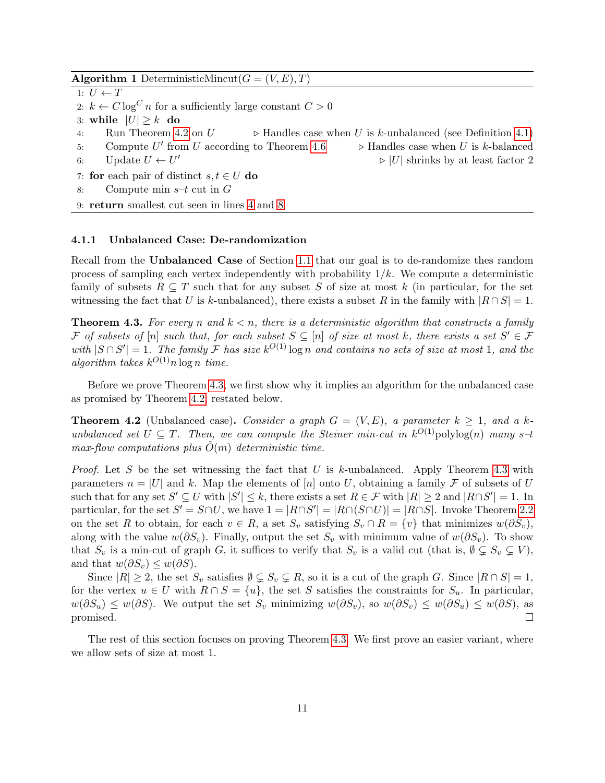Algorithm 1 DeterministicMincut( $G = (V, E), T$ )

<span id="page-10-0"></span>1:  $U \leftarrow T$ 2:  $k \leftarrow C \log^C n$  for a sufficiently large constant  $C > 0$ 3: while  $|U| \geq k$  do 4: Run Theorem [4.2](#page-9-2) on  $U \rightarrow$  Handles case when U is k-unbalanced (see Definition [4.1\)](#page-9-3) 5: Compute  $U'$  $\triangleright$  Handles case when U is k-balanced 6: Update  $U \leftarrow U'$  $\triangleright$  |U| shrinks by at least factor 2 7: for each pair of distinct  $s, t \in U$  do 8: Compute min  $s-t$  cut in  $G$ 9: return smallest cut seen in lines [4](#page-10-0) and [8](#page-10-0)

#### 4.1.1 Unbalanced Case: De-randomization

Recall from the Unbalanced Case of Section [1.1](#page-3-0) that our goal is to de-randomize thes random process of sampling each vertex independently with probability  $1/k$ . We compute a deterministic family of subsets  $R \subseteq T$  such that for any subset S of size at most k (in particular, for the set witnessing the fact that U is k-unbalanced), there exists a subset R in the family with  $|R \cap S| = 1$ .

<span id="page-10-1"></span>**Theorem 4.3.** For every n and  $k < n$ , there is a deterministic algorithm that constructs a family F of subsets of  $[n]$  such that, for each subset  $S \subseteq [n]$  of size at most k, there exists a set  $S' \in \mathcal{F}$ with  $|S \cap S'| = 1$ . The family F has size  $k^{O(1)} \log n$  and contains no sets of size at most 1, and the algorithm takes  $k^{O(1)}n \log n$  time.

Before we prove Theorem [4.3,](#page-10-1) we first show why it implies an algorithm for the unbalanced case as promised by Theorem [4.2,](#page-9-2) restated below.

**Theorem 4.2** (Unbalanced case). Consider a graph  $G = (V, E)$ , a parameter  $k \geq 1$ , and a kunbalanced set  $U \subseteq T$ . Then, we can compute the Steiner min-cut in  $k^{O(1)}$ polylog(n) many s-t max-flow computations plus  $\tilde{O}(m)$  deterministic time.

*Proof.* Let S be the set witnessing the fact that U is k-unbalanced. Apply Theorem [4.3](#page-10-1) with parameters  $n = |U|$  and k. Map the elements of [n] onto U, obtaining a family F of subsets of U such that for any set  $S' \subseteq U$  with  $|S'| \leq k$ , there exists a set  $R \in \mathcal{F}$  with  $|R| \geq 2$  and  $|R \cap S'| = 1$ . In particular, for the set  $S' = S \cap U$ , we have  $1 = |R \cap S'| = |R \cap (S \cap U)| = |R \cap S|$ . Invoke Theorem [2.2](#page-6-1) on the set R to obtain, for each  $v \in R$ , a set  $S_v$  satisfying  $S_v \cap R = \{v\}$  that minimizes  $w(\partial S_v)$ , along with the value  $w(\partial S_v)$ . Finally, output the set  $S_v$  with minimum value of  $w(\partial S_v)$ . To show that  $S_v$  is a min-cut of graph G, it suffices to verify that  $S_v$  is a valid cut (that is,  $\emptyset \subsetneq S_v \subsetneq V$ ), and that  $w(\partial S_v) \leq w(\partial S)$ .

Since  $|R| \geq 2$ , the set  $S_v$  satisfies  $\emptyset \subsetneq S_v \subsetneq R$ , so it is a cut of the graph G. Since  $|R \cap S| = 1$ , for the vertex  $u \in U$  with  $R \cap S = \{u\}$ , the set S satisfies the constraints for  $S_u$ . In particular,  $w(\partial S_u) \leq w(\partial S)$ . We output the set  $S_v$  minimizing  $w(\partial S_v)$ , so  $w(\partial S_v) \leq w(\partial S_u) \leq w(\partial S)$ , as promised.  $\Box$ 

<span id="page-10-2"></span>The rest of this section focuses on proving Theorem [4.3.](#page-10-1) We first prove an easier variant, where we allow sets of size at most 1.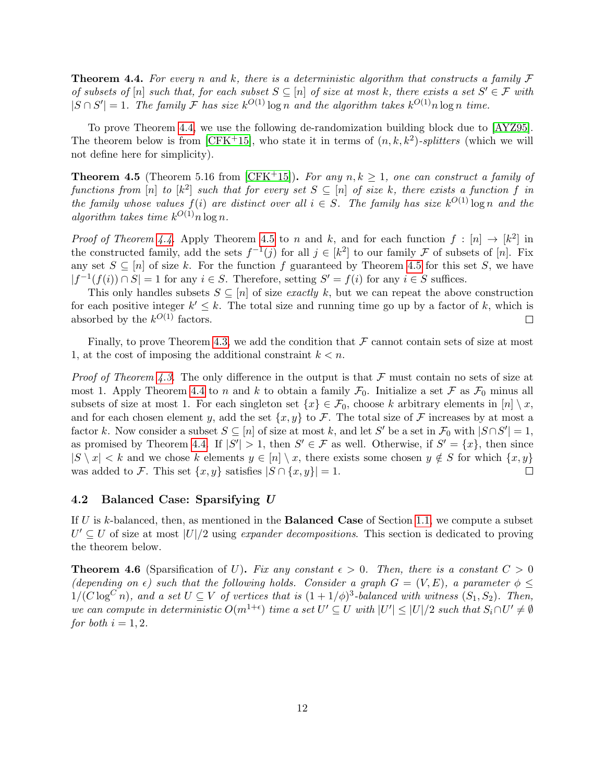**Theorem 4.4.** For every n and k, there is a deterministic algorithm that constructs a family  $\mathcal F$ of subsets of  $[n]$  such that, for each subset  $S \subseteq [n]$  of size at most k, there exists a set  $S' \in \mathcal{F}$  with  $|S \cap S'| = 1$ . The family F has size  $k^{O(1)} \log n$  and the algorithm takes  $k^{O(1)} n \log n$  time.

To prove Theorem [4.4,](#page-10-2) we use the following de-randomization building block due to [\[AYZ95\]](#page-17-9). The theorem below is from  $[CFK^+15]$  $[CFK^+15]$ , who state it in terms of  $(n, k, k^2)$ -splitters (which we will not define here for simplicity).

<span id="page-11-1"></span>**Theorem 4.5** (Theorem 5.16 from [\[CFK](#page-17-10)+15]). For any  $n, k \ge 1$ , one can construct a family of functions from [n] to [k<sup>2</sup>] such that for every set  $S \subseteq [n]$  of size k, there exists a function f in the family whose values  $f(i)$  are distinct over all  $i \in S$ . The family has size  $k^{O(1)} \log n$  and the algorithm takes time  $k^{O(1)} n \log n$ .

*Proof of Theorem [4.4.](#page-10-2)* Apply Theorem [4.5](#page-11-1) to n and k, and for each function  $f : [n] \rightarrow [k^2]$  in the constructed family, add the sets  $f^{-1}(j)$  for all  $j \in [k^2]$  to our family F of subsets of [n]. Fix any set  $S \subseteq [n]$  of size k. For the function f guaranteed by Theorem [4.5](#page-11-1) for this set S, we have  $|f^{-1}(f(i)) \cap S| = 1$  for any  $i \in S$ . Therefore, setting  $S' = f(i)$  for any  $i \in S$  suffices.

This only handles subsets  $S \subseteq [n]$  of size *exactly* k, but we can repeat the above construction for each positive integer  $k' \leq k$ . The total size and running time go up by a factor of k, which is absorbed by the  $k^{O(1)}$  factors.  $\Box$ 

Finally, to prove Theorem [4.3,](#page-10-1) we add the condition that  $\mathcal F$  cannot contain sets of size at most 1, at the cost of imposing the additional constraint  $k < n$ .

*Proof of Theorem [4.3.](#page-10-1)* The only difference in the output is that  $\mathcal F$  must contain no sets of size at most 1. Apply Theorem [4.4](#page-10-2) to n and k to obtain a family  $\mathcal{F}_0$ . Initialize a set F as  $\mathcal{F}_0$  minus all subsets of size at most 1. For each singleton set  $\{x\} \in \mathcal{F}_0$ , choose k arbitrary elements in  $[n] \setminus x$ , and for each chosen element y, add the set  $\{x, y\}$  to F. The total size of F increases by at most a factor k. Now consider a subset  $S \subseteq [n]$  of size at most k, and let S' be a set in  $\mathcal{F}_0$  with  $|S \cap S'| = 1$ , as promised by Theorem [4.4.](#page-10-2) If  $|S'| > 1$ , then  $S' \in \mathcal{F}$  as well. Otherwise, if  $S' = \{x\}$ , then since  $|S \setminus x| < k$  and we chose k elements  $y \in [n] \setminus x$ , there exists some chosen  $y \notin S$  for which  $\{x, y\}$ was added to F. This set  $\{x, y\}$  satisfies  $|S \cap \{x, y\}| = 1$ .  $\Box$ 

### 4.2 Balanced Case: Sparsifying U

If  $U$  is k-balanced, then, as mentioned in the **Balanced Case** of Section [1.1,](#page-3-0) we compute a subset  $U' \subseteq U$  of size at most  $|U|/2$  using expander decompositions. This section is dedicated to proving the theorem below.

<span id="page-11-0"></span>**Theorem 4.6** (Sparsification of U). Fix any constant  $\epsilon > 0$ . Then, there is a constant  $C > 0$ (depending on  $\epsilon$ ) such that the following holds. Consider a graph  $G = (V, E)$ , a parameter  $\phi \leq$  $1/(C \log^C n)$ , and a set  $U \subseteq V$  of vertices that is  $(1 + 1/\phi)^3$ -balanced with witness  $(S_1, S_2)$ . Then, we can compute in deterministic  $O(m^{1+\epsilon})$  time a set  $U' \subseteq U$  with  $|U'| \leq |U|/2$  such that  $S_i \cap U' \neq \emptyset$ for both  $i = 1, 2$ .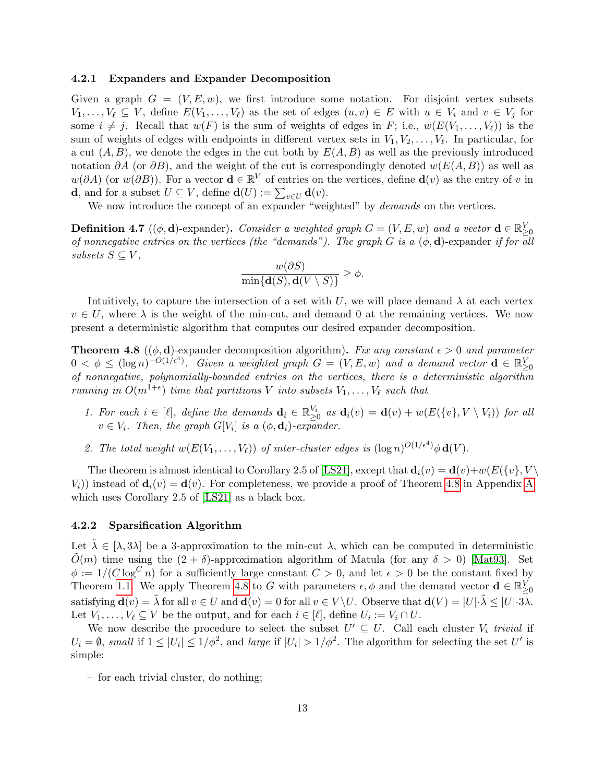#### 4.2.1 Expanders and Expander Decomposition

Given a graph  $G = (V, E, w)$ , we first introduce some notation. For disjoint vertex subsets  $V_1, \ldots, V_\ell \subseteq V$ , define  $E(V_1, \ldots, V_\ell)$  as the set of edges  $(u, v) \in E$  with  $u \in V_i$  and  $v \in V_j$  for some  $i \neq j$ . Recall that  $w(F)$  is the sum of weights of edges in F; i.e.,  $w(E(V_1, \ldots, V_\ell))$  is the sum of weights of edges with endpoints in different vertex sets in  $V_1, V_2, \ldots, V_\ell$ . In particular, for a cut  $(A, B)$ , we denote the edges in the cut both by  $E(A, B)$  as well as the previously introduced notation  $\partial A$  (or  $\partial B$ ), and the weight of the cut is correspondingly denoted  $w(E(A, B))$  as well as  $w(\partial A)$  (or  $w(\partial B)$ ). For a vector  $\mathbf{d} \in \mathbb{R}^V$  of entries on the vertices, define  $\mathbf{d}(v)$  as the entry of v in **d**, and for a subset  $U \subseteq V$ , define  $\mathbf{d}(U) := \sum_{v \in U} \mathbf{d}(v)$ .

We now introduce the concept of an expander "weighted" by *demands* on the vertices.

**Definition 4.7** (( $\phi$ , **d**)-expander). Consider a weighted graph  $G = (V, E, w)$  and a vector  $\mathbf{d} \in \mathbb{R}_{\geq 0}^V$ of nonnegative entries on the vertices (the "demands"). The graph G is a  $(\phi, d)$ -expander if for all subsets  $S \subseteq V$ ,

$$
\frac{w(\partial S)}{\min\{\mathbf{d}(S),\mathbf{d}(V\setminus S)\}} \ge \phi.
$$

Intuitively, to capture the intersection of a set with U, we will place demand  $\lambda$  at each vertex  $v \in U$ , where  $\lambda$  is the weight of the min-cut, and demand 0 at the remaining vertices. We now present a deterministic algorithm that computes our desired expander decomposition.

<span id="page-12-0"></span>**Theorem 4.8** (( $\phi$ , **d**)-expander decomposition algorithm). Fix any constant  $\epsilon > 0$  and parameter  $0 < \phi \leq (\log n)^{-O(1/\epsilon^4)}$ . Given a weighted graph  $G = (V, E, w)$  and a demand vector  $\mathbf{d} \in \mathbb{R}_{\geq 0}^V$ of nonnegative, polynomially-bounded entries on the vertices, there is a deterministic algorithm running in  $O(m^{1+\epsilon})$  time that partitions V into subsets  $V_1, \ldots, V_\ell$  such that

- 1. For each  $i \in [\ell],$  define the demands  $\mathbf{d}_i \in \mathbb{R}_{\geq 0}^{V_i}$  as  $\mathbf{d}_i(v) = \mathbf{d}(v) + w(E(\{v\}, V \setminus V_i))$  for all  $v \in V_i$ . Then, the graph  $G[V_i]$  is a  $(\phi, \mathbf{d}_i)$ -expander.
- 2. The total weight  $w(E(V_1, \ldots, V_\ell))$  of inter-cluster edges is  $(\log n)^{O(1/\epsilon^4)} \phi \mathbf{d}(V)$ .

The theorem is almost identical to Corollary 2.5 of [\[LS21\]](#page-19-10), except that  $\mathbf{d}_i(v) = \mathbf{d}(v) + w(E({v}, V \setminus$  $V_i$ ) instead of  $\mathbf{d}_i(v) = \mathbf{d}(v)$ . For completeness, we provide a proof of Theorem [4.8](#page-12-0) in [A](#page-20-5)ppendix A which uses Corollary 2.5 of [\[LS21\]](#page-19-10) as a black box.

#### 4.2.2 Sparsification Algorithm

Let  $\lambda \in [\lambda, 3\lambda]$  be a 3-approximation to the min-cut  $\lambda$ , which can be computed in deterministic  $O(m)$  time using the  $(2 + \delta)$ -approximation algorithm of Matula (for any  $\delta > 0$ ) [\[Mat93\]](#page-19-11). Set  $\phi := 1/(C \log^C n)$  for a sufficiently large constant  $C > 0$ , and let  $\epsilon > 0$  be the constant fixed by Theorem [1.1.](#page-1-2) We apply Theorem [4.8](#page-12-0) to G with parameters  $\epsilon, \phi$  and the demand vector  $\mathbf{d} \in \mathbb{R}_{\geq 0}^V$ satisfying  $\mathbf{d}(v) = \tilde{\lambda}$  for all  $v \in U$  and  $\mathbf{d}(v) = 0$  for all  $v \in V \setminus U$ . Observe that  $\mathbf{d}(V) = |U| \cdot \tilde{\lambda} \leq |U| \cdot 3\lambda$ . Let  $V_1, \ldots, V_\ell \subseteq V$  be the output, and for each  $i \in [\ell]$ , define  $U_i := V_i \cap U$ .

We now describe the procedure to select the subset  $U' \subseteq U$ . Call each cluster  $V_i$  trivial if  $U_i = \emptyset$ , small if  $1 \leq |U_i| \leq 1/\phi^2$ , and large if  $|U_i| > 1/\phi^2$ . The algorithm for selecting the set U' is simple:

– for each trivial cluster, do nothing;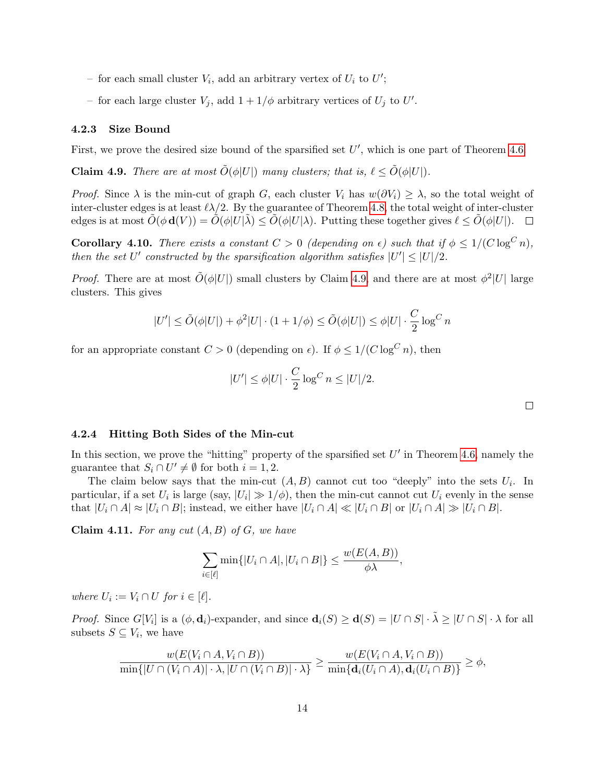- for each small cluster  $V_i$ , add an arbitrary vertex of  $U_i$  to  $U'$ ;
- for each large cluster  $V_j$ , add  $1 + 1/\phi$  arbitrary vertices of  $U_j$  to  $U'$ .

### 4.2.3 Size Bound

First, we prove the desired size bound of the sparsified set  $U'$ , which is one part of Theorem [4.6.](#page-11-0)

<span id="page-13-0"></span>**Claim 4.9.** There are at most  $\tilde{O}(\phi|U|)$  many clusters; that is,  $\ell \leq \tilde{O}(\phi|U|)$ .

*Proof.* Since  $\lambda$  is the min-cut of graph G, each cluster  $V_i$  has  $w(\partial V_i) \geq \lambda$ , so the total weight of inter-cluster edges is at least  $\ell\lambda/2$ . By the guarantee of Theorem [4.8,](#page-12-0) the total weight of inter-cluster edges is at most  $\tilde{O}(\phi \mathbf{d}(V)) = \tilde{O}(\phi |U|\lambda) \leq \tilde{O}(\phi |U|\lambda)$ . Putting these together gives  $\ell \leq \tilde{O}(\phi |U|)$ .  $\Box$ 

<span id="page-13-1"></span>**Corollary 4.10.** There exists a constant  $C > 0$  (depending on  $\epsilon$ ) such that if  $\phi \leq 1/(C \log^C n)$ , then the set U' constructed by the sparsification algorithm satisfies  $|U'| \leq |U|/2$ .

*Proof.* There are at most  $\tilde{O}(\phi|U|)$  small clusters by Claim [4.9,](#page-13-0) and there are at most  $\phi^2|U|$  large clusters. This gives

$$
|U'| \le \tilde{O}(\phi|U|) + \phi^2|U| \cdot (1 + 1/\phi) \le \tilde{O}(\phi|U|) \le \phi|U| \cdot \frac{C}{2} \log^C n
$$

for an appropriate constant  $C > 0$  (depending on  $\epsilon$ ). If  $\phi \leq 1/(C \log^C n)$ , then

$$
|U'| \le \phi |U| \cdot \frac{C}{2} \log^C n \le |U|/2.
$$

### 4.2.4 Hitting Both Sides of the Min-cut

In this section, we prove the "hitting" property of the sparsified set  $U'$  in Theorem [4.6,](#page-11-0) namely the guarantee that  $S_i \cap U' \neq \emptyset$  for both  $i = 1, 2$ .

The claim below says that the min-cut  $(A, B)$  cannot cut too "deeply" into the sets  $U_i$ . In particular, if a set  $U_i$  is large (say,  $|U_i| \gg 1/\phi$ ), then the min-cut cannot cut  $U_i$  evenly in the sense that  $|U_i \cap A| \approx |U_i \cap B|$ ; instead, we either have  $|U_i \cap A| \ll |U_i \cap B|$  or  $|U_i \cap A| \gg |U_i \cap B|$ .

<span id="page-13-2"></span>**Claim 4.11.** For any cut  $(A, B)$  of  $G$ , we have

$$
\sum_{i \in [\ell]} \min\{|U_i \cap A|, |U_i \cap B|\} \le \frac{w(E(A, B))}{\phi \lambda},
$$

where  $U_i := V_i \cap U$  for  $i \in [\ell]$ .

*Proof.* Since  $G[V_i]$  is a  $(\phi, \mathbf{d}_i)$ -expander, and since  $\mathbf{d}_i(S) \geq \mathbf{d}(S) = |U \cap S| \cdot \tilde{\lambda} \geq |U \cap S| \cdot \lambda$  for all subsets  $S \subseteq V_i$ , we have

$$
\frac{w(E(V_i \cap A, V_i \cap B))}{\min\{|U \cap (V_i \cap A)| \cdot \lambda, |U \cap (V_i \cap B)| \cdot \lambda\}} \ge \frac{w(E(V_i \cap A, V_i \cap B))}{\min\{d_i(U_i \cap A), d_i(U_i \cap B)\}} \ge \phi,
$$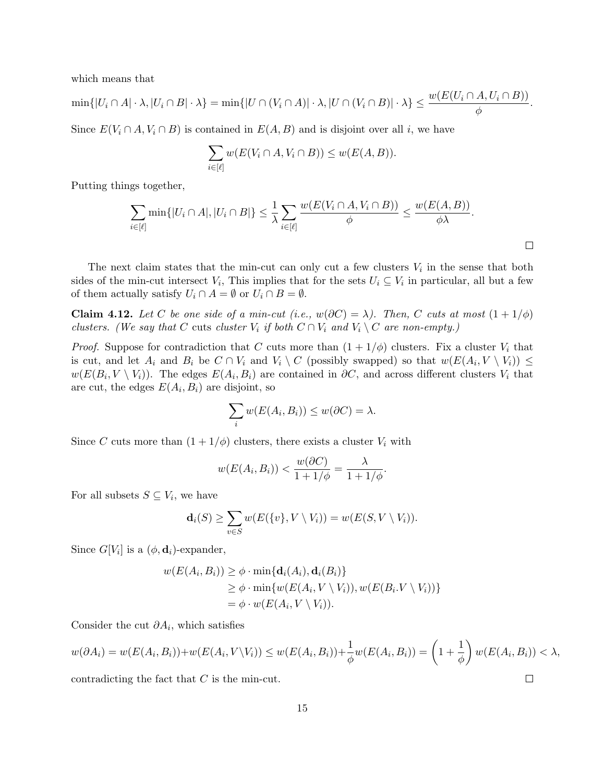which means that

$$
\min\{|U_i\cap A|\cdot\lambda, |U_i\cap B|\cdot\lambda\}=\min\{|U\cap (V_i\cap A)|\cdot\lambda, |U\cap (V_i\cap B)|\cdot\lambda\}\leq \frac{w(E(U_i\cap A, U_i\cap B))}{\phi}.
$$

Since  $E(V_i \cap A, V_i \cap B)$  is contained in  $E(A, B)$  and is disjoint over all i, we have

$$
\sum_{i \in [\ell]} w(E(V_i \cap A, V_i \cap B)) \leq w(E(A, B)).
$$

Putting things together,

$$
\sum_{i\in[\ell]} \min\{|U_i\cap A|, |U_i\cap B|\} \leq \frac{1}{\lambda} \sum_{i\in[\ell]} \frac{w(E(V_i\cap A, V_i\cap B))}{\phi} \leq \frac{w(E(A, B))}{\phi \lambda}.
$$

The next claim states that the min-cut can only cut a few clusters  $V_i$  in the sense that both sides of the min-cut intersect  $V_i$ , This implies that for the sets  $U_i \subseteq V_i$  in particular, all but a few of them actually satisfy  $U_i \cap A = \emptyset$  or  $U_i \cap B = \emptyset$ .

<span id="page-14-0"></span>**Claim 4.12.** Let C be one side of a min-cut (i.e.,  $w(\partial C) = \lambda$ ). Then, C cuts at most  $(1 + 1/\phi)$ clusters. (We say that C cuts cluster  $V_i$  if both  $C \cap V_i$  and  $V_i \setminus C$  are non-empty.)

*Proof.* Suppose for contradiction that C cuts more than  $(1 + 1/\phi)$  clusters. Fix a cluster  $V_i$  that is cut, and let  $A_i$  and  $B_i$  be  $C \cap V_i$  and  $V_i \setminus C$  (possibly swapped) so that  $w(E(A_i, V \setminus V_i)) \le$  $w(E(B_i, V \setminus V_i))$ . The edges  $E(A_i, B_i)$  are contained in  $\partial C$ , and across different clusters  $V_i$  that are cut, the edges  $E(A_i, B_i)$  are disjoint, so

$$
\sum_{i} w(E(A_i, B_i)) \le w(\partial C) = \lambda.
$$

Since C cuts more than  $(1 + 1/\phi)$  clusters, there exists a cluster  $V_i$  with

$$
w(E(A_i, B_i)) < \frac{w(\partial C)}{1 + 1/\phi} = \frac{\lambda}{1 + 1/\phi}.
$$

For all subsets  $S \subseteq V_i$ , we have

$$
\mathbf{d}_i(S) \ge \sum_{v \in S} w(E(\{v\}, V \setminus V_i)) = w(E(S, V \setminus V_i)).
$$

Since  $G[V_i]$  is a  $(\phi, \mathbf{d}_i)$ -expander,

$$
w(E(A_i, B_i)) \geq \phi \cdot \min\{\mathbf{d}_i(A_i), \mathbf{d}_i(B_i)\}\
$$
  
\n
$$
\geq \phi \cdot \min\{w(E(A_i, V \setminus V_i)), w(E(B_i. V \setminus V_i))\}\
$$
  
\n
$$
= \phi \cdot w(E(A_i, V \setminus V_i)).
$$

Consider the cut  $\partial A_i$ , which satisfies

$$
w(\partial A_i) = w(E(A_i, B_i)) + w(E(A_i, V \setminus V_i)) \le w(E(A_i, B_i)) + \frac{1}{\phi}w(E(A_i, B_i)) = \left(1 + \frac{1}{\phi}\right)w(E(A_i, B_i)) < \lambda,
$$
  
contradicting the fact that *C* is the min-cut

contradicting the fact that C is the min-cut.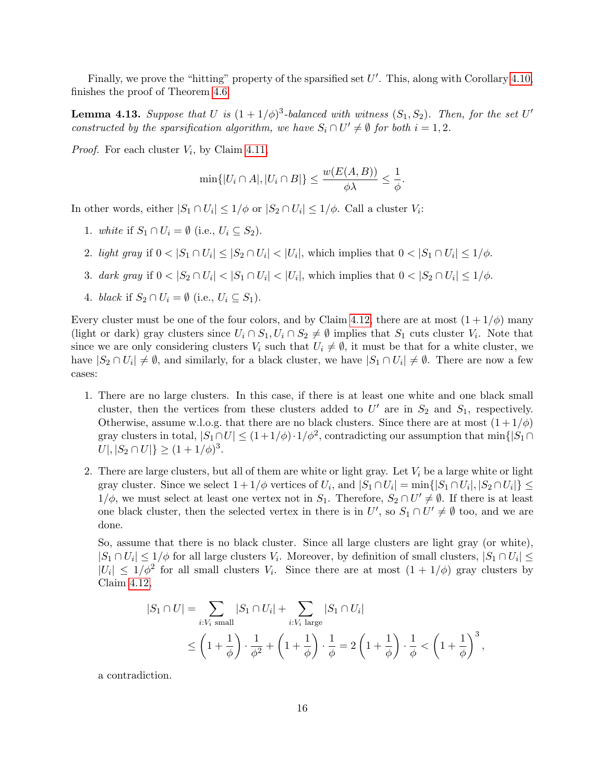Finally, we prove the "hitting" property of the sparsified set  $U'$ . This, along with Corollary [4.10,](#page-13-1) finishes the proof of Theorem [4.6.](#page-11-0)

**Lemma 4.13.** Suppose that U is  $(1 + 1/\phi)^3$ -balanced with witness  $(S_1, S_2)$ . Then, for the set U' constructed by the sparsification algorithm, we have  $S_i \cap U' \neq \emptyset$  for both  $i = 1, 2$ .

*Proof.* For each cluster  $V_i$ , by Claim [4.11,](#page-13-2)

$$
\min\{|U_i\cap A|, |U_i\cap B|\} \le \frac{w(E(A,B))}{\phi\lambda} \le \frac{1}{\phi}.
$$

In other words, either  $|S_1 \cap U_i| \leq 1/\phi$  or  $|S_2 \cap U_i| \leq 1/\phi$ . Call a cluster  $V_i$ :

- 1. white if  $S_1 \cap U_i = \emptyset$  (i.e.,  $U_i \subseteq S_2$ ).
- 2. light gray if  $0 < |S_1 \cap U_i| \leq |S_2 \cap U_i| < |U_i|$ , which implies that  $0 < |S_1 \cap U_i| \leq 1/\phi$ .
- 3. dark gray if  $0 < |S_2 \cap U_i| < |S_1 \cap U_i| < |U_i|$ , which implies that  $0 < |S_2 \cap U_i| \leq 1/\phi$ .
- 4. black if  $S_2 \cap U_i = \emptyset$  (i.e.,  $U_i \subseteq S_1$ ).

Every cluster must be one of the four colors, and by Claim [4.12,](#page-14-0) there are at most  $(1+1/\phi)$  many (light or dark) gray clusters since  $U_i \cap S_1, U_i \cap S_2 \neq \emptyset$  implies that  $S_1$  cuts cluster  $V_i$ . Note that since we are only considering clusters  $V_i$  such that  $U_i \neq \emptyset$ , it must be that for a white cluster, we have  $|S_2 \cap U_i| \neq \emptyset$ , and similarly, for a black cluster, we have  $|S_1 \cap U_i| \neq \emptyset$ . There are now a few cases:

- 1. There are no large clusters. In this case, if there is at least one white and one black small cluster, then the vertices from these clusters added to  $U'$  are in  $S_2$  and  $S_1$ , respectively. Otherwise, assume w.l.o.g. that there are no black clusters. Since there are at most  $(1+1/\phi)$ gray clusters in total,  $|S_1 \cap U| \leq (1 + 1/\phi) \cdot 1/\phi^2$ , contradicting our assumption that min{ $|S_1 \cap U|$  $|U|, |S_2 \cap U|\} \ge (1 + 1/\phi)^3$ .
- 2. There are large clusters, but all of them are white or light gray. Let  $V_i$  be a large white or light gray cluster. Since we select  $1+1/\phi$  vertices of  $U_i$ , and  $|S_1 \cap U_i| = \min\{|S_1 \cap U_i|, |S_2 \cap U_i|\} \le$  $1/\phi$ , we must select at least one vertex not in  $S_1$ . Therefore,  $S_2 \cap U' \neq \emptyset$ . If there is at least one black cluster, then the selected vertex in there is in  $U'$ , so  $S_1 \cap U' \neq \emptyset$  too, and we are done.

So, assume that there is no black cluster. Since all large clusters are light gray (or white),  $|S_1 \cap U_i| \leq 1/\phi$  for all large clusters  $V_i$ . Moreover, by definition of small clusters,  $|S_1 \cap U_i| \leq$  $|U_i| \leq 1/\phi^2$  for all small clusters  $V_i$ . Since there are at most  $(1+1/\phi)$  gray clusters by Claim [4.12,](#page-14-0)

$$
|S_1 \cap U| = \sum_{i:V_i \text{ small}} |S_1 \cap U_i| + \sum_{i:V_i \text{ large}} |S_1 \cap U_i|
$$
  

$$
\leq \left(1 + \frac{1}{\phi}\right) \cdot \frac{1}{\phi^2} + \left(1 + \frac{1}{\phi}\right) \cdot \frac{1}{\phi} = 2\left(1 + \frac{1}{\phi}\right) \cdot \frac{1}{\phi} < \left(1 + \frac{1}{\phi}\right)^3,
$$

a contradiction.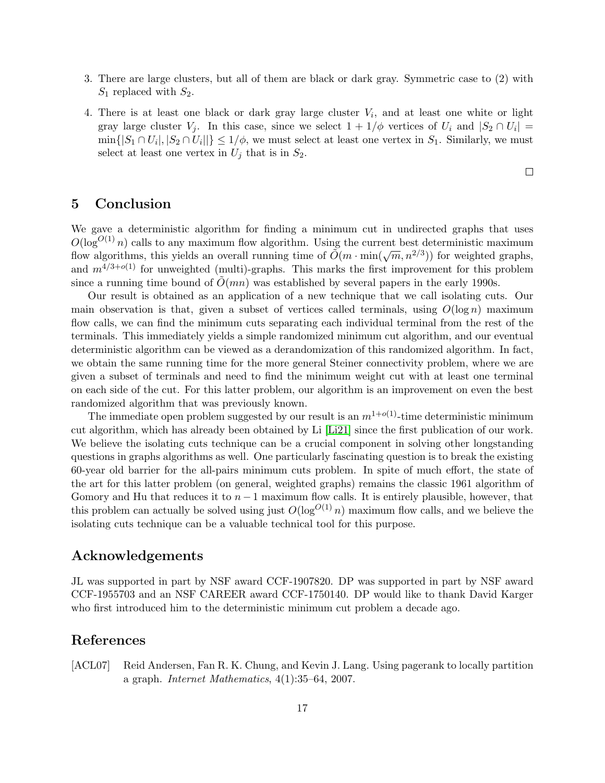- 3. There are large clusters, but all of them are black or dark gray. Symmetric case to (2) with  $S_1$  replaced with  $S_2$ .
- 4. There is at least one black or dark gray large cluster  $V_i$ , and at least one white or light gray large cluster  $V_j$ . In this case, since we select  $1 + 1/\phi$  vertices of  $U_i$  and  $|S_2 \cap U_i|$  =  $\min\{|S_1 \cap U_i|, |S_2 \cap U_i|\} \leq 1/\phi$ , we must select at least one vertex in  $S_1$ . Similarly, we must select at least one vertex in  $U_j$  that is in  $S_2$ .

5 Conclusion

We gave a deterministic algorithm for finding a minimum cut in undirected graphs that uses  $O(\log^{O(1)} n)$  calls to any maximum flow algorithm. Using the current best deterministic maximum  $\tilde{O}(\log^{10.7} h)$  cans to any maximum now algorithm. Using the current best deterministic maximum flow algorithms, this yields an overall running time of  $\tilde{O}(m \cdot \min(\sqrt{m}, n^{2/3}))$  for weighted graphs, and  $m^{4/3+o(1)}$  for unweighted (multi)-graphs. This marks the first improvement for this problem since a running time bound of  $\tilde{O}(mn)$  was established by several papers in the early 1990s.

Our result is obtained as an application of a new technique that we call isolating cuts. Our main observation is that, given a subset of vertices called terminals, using  $O(\log n)$  maximum flow calls, we can find the minimum cuts separating each individual terminal from the rest of the terminals. This immediately yields a simple randomized minimum cut algorithm, and our eventual deterministic algorithm can be viewed as a derandomization of this randomized algorithm. In fact, we obtain the same running time for the more general Steiner connectivity problem, where we are given a subset of terminals and need to find the minimum weight cut with at least one terminal on each side of the cut. For this latter problem, our algorithm is an improvement on even the best randomized algorithm that was previously known.

The immediate open problem suggested by our result is an  $m^{1+o(1)}$ -time deterministic minimum cut algorithm, which has already been obtained by Li [\[Li21\]](#page-19-4) since the first publication of our work. We believe the isolating cuts technique can be a crucial component in solving other longstanding questions in graphs algorithms as well. One particularly fascinating question is to break the existing 60-year old barrier for the all-pairs minimum cuts problem. In spite of much effort, the state of the art for this latter problem (on general, weighted graphs) remains the classic 1961 algorithm of Gomory and Hu that reduces it to  $n-1$  maximum flow calls. It is entirely plausible, however, that this problem can actually be solved using just  $O(\log^{O(1)} n)$  maximum flow calls, and we believe the isolating cuts technique can be a valuable technical tool for this purpose.

# Acknowledgements

JL was supported in part by NSF award CCF-1907820. DP was supported in part by NSF award CCF-1955703 and an NSF CAREER award CCF-1750140. DP would like to thank David Karger who first introduced him to the deterministic minimum cut problem a decade ago.

# References

<span id="page-16-0"></span>[ACL07] Reid Andersen, Fan R. K. Chung, and Kevin J. Lang. Using pagerank to locally partition a graph. Internet Mathematics, 4(1):35–64, 2007.

 $\Box$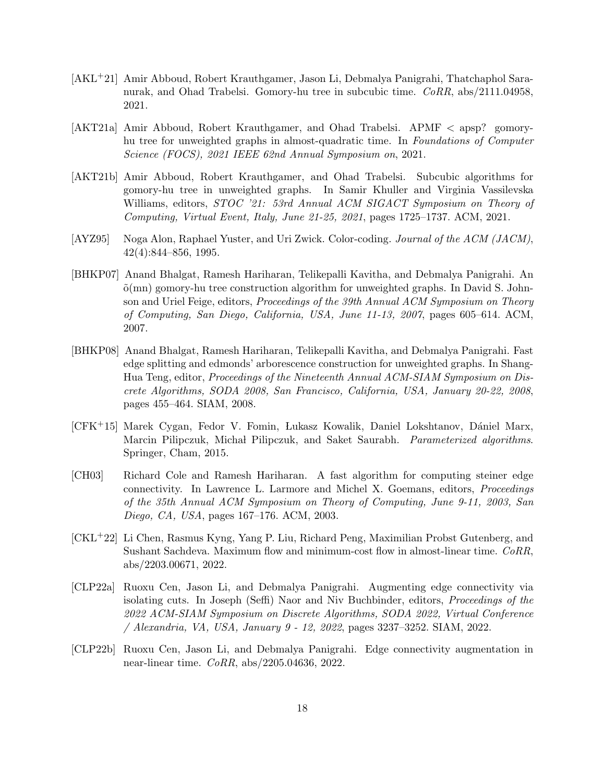- <span id="page-17-6"></span>[AKL+21] Amir Abboud, Robert Krauthgamer, Jason Li, Debmalya Panigrahi, Thatchaphol Saranurak, and Ohad Trabelsi. Gomory-hu tree in subcubic time. CoRR, abs/2111.04958, 2021.
- <span id="page-17-5"></span>[AKT21a] Amir Abboud, Robert Krauthgamer, and Ohad Trabelsi. APMF < apsp? gomoryhu tree for unweighted graphs in almost-quadratic time. In Foundations of Computer Science (FOCS), 2021 IEEE 62nd Annual Symposium on, 2021.
- <span id="page-17-4"></span>[AKT21b] Amir Abboud, Robert Krauthgamer, and Ohad Trabelsi. Subcubic algorithms for gomory-hu tree in unweighted graphs. In Samir Khuller and Virginia Vassilevska Williams, editors, *STOC* '21: 53rd Annual ACM SIGACT Symposium on Theory of Computing, Virtual Event, Italy, June 21-25, 2021, pages 1725–1737. ACM, 2021.
- <span id="page-17-9"></span>[AYZ95] Noga Alon, Raphael Yuster, and Uri Zwick. Color-coding. Journal of the ACM (JACM), 42(4):844–856, 1995.
- <span id="page-17-2"></span>[BHKP07] Anand Bhalgat, Ramesh Hariharan, Telikepalli Kavitha, and Debmalya Panigrahi. An  $\tilde{\sigma}(mn)$  gomory-hu tree construction algorithm for unweighted graphs. In David S. Johnson and Uriel Feige, editors, *Proceedings of the 39th Annual ACM Symposium on Theory* of Computing, San Diego, California, USA, June 11-13, 2007, pages 605–614. ACM, 2007.
- <span id="page-17-1"></span>[BHKP08] Anand Bhalgat, Ramesh Hariharan, Telikepalli Kavitha, and Debmalya Panigrahi. Fast edge splitting and edmonds' arborescence construction for unweighted graphs. In Shang-Hua Teng, editor, Proceedings of the Nineteenth Annual ACM-SIAM Symposium on Discrete Algorithms, SODA 2008, San Francisco, California, USA, January 20-22, 2008, pages 455–464. SIAM, 2008.
- <span id="page-17-10"></span>[CFK+15] Marek Cygan, Fedor V. Fomin, Lukasz Kowalik, Daniel Lokshtanov, D´aniel Marx, Marcin Pilipczuk, Michał Pilipczuk, and Saket Saurabh. Parameterized algorithms. Springer, Cham, 2015.
- <span id="page-17-0"></span>[CH03] Richard Cole and Ramesh Hariharan. A fast algorithm for computing steiner edge connectivity. In Lawrence L. Larmore and Michel X. Goemans, editors, Proceedings of the 35th Annual ACM Symposium on Theory of Computing, June 9-11, 2003, San Diego, CA, USA, pages 167–176. ACM, 2003.
- <span id="page-17-3"></span>[CKL+22] Li Chen, Rasmus Kyng, Yang P. Liu, Richard Peng, Maximilian Probst Gutenberg, and Sushant Sachdeva. Maximum flow and minimum-cost flow in almost-linear time. CoRR, abs/2203.00671, 2022.
- <span id="page-17-7"></span>[CLP22a] Ruoxu Cen, Jason Li, and Debmalya Panigrahi. Augmenting edge connectivity via isolating cuts. In Joseph (Seffi) Naor and Niv Buchbinder, editors, Proceedings of the 2022 ACM-SIAM Symposium on Discrete Algorithms, SODA 2022, Virtual Conference / Alexandria, VA, USA, January 9 - 12, 2022, pages 3237–3252. SIAM, 2022.
- <span id="page-17-8"></span>[CLP22b] Ruoxu Cen, Jason Li, and Debmalya Panigrahi. Edge connectivity augmentation in near-linear time. CoRR, abs/2205.04636, 2022.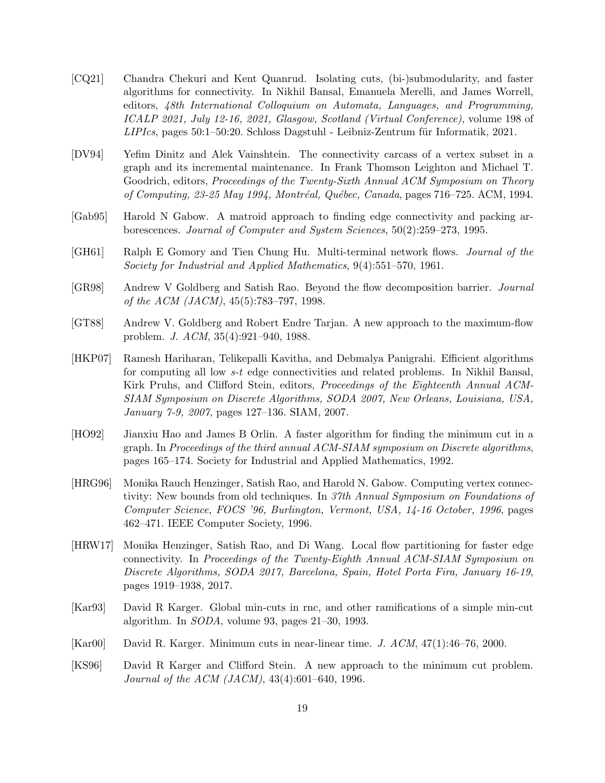- <span id="page-18-12"></span>[CQ21] Chandra Chekuri and Kent Quanrud. Isolating cuts, (bi-)submodularity, and faster algorithms for connectivity. In Nikhil Bansal, Emanuela Merelli, and James Worrell, editors, 48th International Colloquium on Automata, Languages, and Programming, ICALP 2021, July 12-16, 2021, Glasgow, Scotland (Virtual Conference), volume 198 of  $LIPIcs$ , pages 50:1–50:20. Schloss Dagstuhl - Leibniz-Zentrum für Informatik, 2021.
- <span id="page-18-9"></span>[DV94] Yefim Dinitz and Alek Vainshtein. The connectivity carcass of a vertex subset in a graph and its incremental maintenance. In Frank Thomson Leighton and Michael T. Goodrich, editors, Proceedings of the Twenty-Sixth Annual ACM Symposium on Theory of Computing, 23-25 May 1994, Montréal, Québec, Canada, pages 716–725. ACM, 1994.
- <span id="page-18-7"></span>[Gab95] Harold N Gabow. A matroid approach to finding edge connectivity and packing arborescences. Journal of Computer and System Sciences, 50(2):259–273, 1995.
- <span id="page-18-0"></span>[GH61] Ralph E Gomory and Tien Chung Hu. Multi-terminal network flows. Journal of the Society for Industrial and Applied Mathematics, 9(4):551–570, 1961.
- <span id="page-18-3"></span>[GR98] Andrew V Goldberg and Satish Rao. Beyond the flow decomposition barrier. Journal of the ACM (JACM), 45(5):783–797, 1998.
- <span id="page-18-2"></span>[GT88] Andrew V. Goldberg and Robert Endre Tarjan. A new approach to the maximum-flow problem. J. ACM, 35(4):921–940, 1988.
- <span id="page-18-10"></span>[HKP07] Ramesh Hariharan, Telikepalli Kavitha, and Debmalya Panigrahi. Efficient algorithms for computing all low s-t edge connectivities and related problems. In Nikhil Bansal, Kirk Pruhs, and Clifford Stein, editors, Proceedings of the Eighteenth Annual ACM-SIAM Symposium on Discrete Algorithms, SODA 2007, New Orleans, Louisiana, USA, January 7-9, 2007, pages 127–136. SIAM, 2007.
- <span id="page-18-1"></span>[HO92] Jianxiu Hao and James B Orlin. A faster algorithm for finding the minimum cut in a graph. In Proceedings of the third annual ACM-SIAM symposium on Discrete algorithms, pages 165–174. Society for Industrial and Applied Mathematics, 1992.
- <span id="page-18-11"></span>[HRG96] Monika Rauch Henzinger, Satish Rao, and Harold N. Gabow. Computing vertex connectivity: New bounds from old techniques. In 37th Annual Symposium on Foundations of Computer Science, FOCS '96, Burlington, Vermont, USA, 14-16 October, 1996, pages 462–471. IEEE Computer Society, 1996.
- <span id="page-18-8"></span>[HRW17] Monika Henzinger, Satish Rao, and Di Wang. Local flow partitioning for faster edge connectivity. In Proceedings of the Twenty-Eighth Annual ACM-SIAM Symposium on Discrete Algorithms, SODA 2017, Barcelona, Spain, Hotel Porta Fira, January 16-19, pages 1919–1938, 2017.
- <span id="page-18-4"></span>[Kar93] David R Karger. Global min-cuts in rnc, and other ramifications of a simple min-cut algorithm. In SODA, volume 93, pages 21–30, 1993.
- <span id="page-18-6"></span>[Kar00] David R. Karger. Minimum cuts in near-linear time. J. ACM, 47(1):46–76, 2000.
- <span id="page-18-5"></span>[KS96] David R Karger and Clifford Stein. A new approach to the minimum cut problem. Journal of the ACM (JACM), 43(4):601–640, 1996.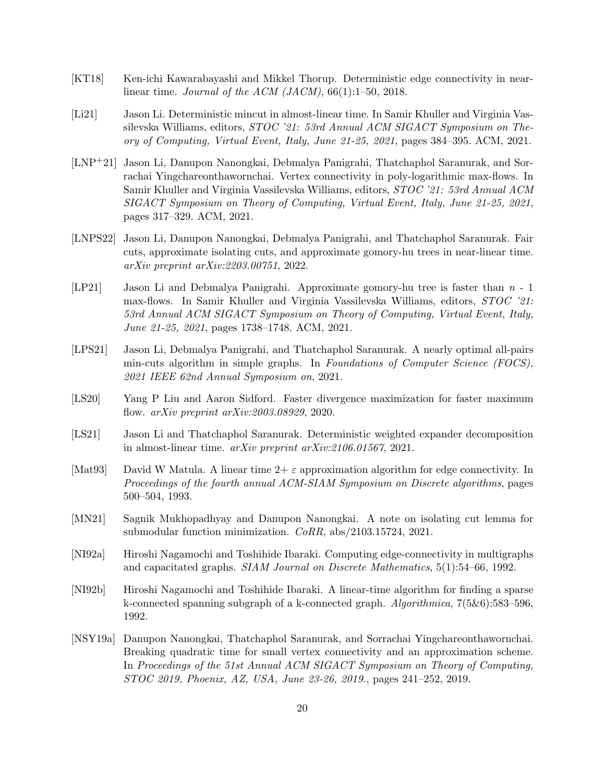- <span id="page-19-2"></span>[KT18] Ken-ichi Kawarabayashi and Mikkel Thorup. Deterministic edge connectivity in nearlinear time. Journal of the ACM  $(JACM)$ , 66(1):1–50, 2018.
- <span id="page-19-4"></span>[Li21] Jason Li. Deterministic mincut in almost-linear time. In Samir Khuller and Virginia Vassilevska Williams, editors, STOC '21: 53rd Annual ACM SIGACT Symposium on Theory of Computing, Virtual Event, Italy, June 21-25, 2021, pages 384–395. ACM, 2021.
- <span id="page-19-6"></span>[LNP+21] Jason Li, Danupon Nanongkai, Debmalya Panigrahi, Thatchaphol Saranurak, and Sorrachai Yingchareonthawornchai. Vertex connectivity in poly-logarithmic max-flows. In Samir Khuller and Virginia Vassilevska Williams, editors, STOC '21: 53rd Annual ACM SIGACT Symposium on Theory of Computing, Virtual Event, Italy, June 21-25, 2021, pages 317–329. ACM, 2021.
- <span id="page-19-12"></span>[LNPS22] Jason Li, Danupon Nanongkai, Debmalya Panigrahi, and Thatchaphol Saranurak. Fair cuts, approximate isolating cuts, and approximate gomory-hu trees in near-linear time. arXiv preprint arXiv:2203.00751, 2022.
- <span id="page-19-5"></span>[LP21] Jason Li and Debmalya Panigrahi. Approximate gomory-hu tree is faster than n - 1 max-flows. In Samir Khuller and Virginia Vassilevska Williams, editors, STOC '21: 53rd Annual ACM SIGACT Symposium on Theory of Computing, Virtual Event, Italy, June 21-25, 2021, pages 1738–1748. ACM, 2021.
- <span id="page-19-7"></span>[LPS21] Jason Li, Debmalya Panigrahi, and Thatchaphol Saranurak. A nearly optimal all-pairs min-cuts algorithm in simple graphs. In Foundations of Computer Science (FOCS), 2021 IEEE 62nd Annual Symposium on, 2021.
- <span id="page-19-3"></span>[LS20] Yang P Liu and Aaron Sidford. Faster divergence maximization for faster maximum flow. arXiv preprint arXiv:2003.08929, 2020.
- <span id="page-19-10"></span>[LS21] Jason Li and Thatchaphol Saranurak. Deterministic weighted expander decomposition in almost-linear time. arXiv preprint arXiv:2106.01567, 2021.
- <span id="page-19-11"></span>[Mat93] David W Matula. A linear time  $2+\varepsilon$  approximation algorithm for edge connectivity. In Proceedings of the fourth annual ACM-SIAM Symposium on Discrete algorithms, pages 500–504, 1993.
- <span id="page-19-8"></span>[MN21] Sagnik Mukhopadhyay and Danupon Nanongkai. A note on isolating cut lemma for submodular function minimization. CoRR, abs/2103.15724, 2021.
- <span id="page-19-0"></span>[NI92a] Hiroshi Nagamochi and Toshihide Ibaraki. Computing edge-connectivity in multigraphs and capacitated graphs. SIAM Journal on Discrete Mathematics, 5(1):54–66, 1992.
- <span id="page-19-1"></span>[NI92b] Hiroshi Nagamochi and Toshihide Ibaraki. A linear-time algorithm for finding a sparse k-connected spanning subgraph of a k-connected graph. Algorithmica, 7(5&6):583–596, 1992.
- <span id="page-19-9"></span>[NSY19a] Danupon Nanongkai, Thatchaphol Saranurak, and Sorrachai Yingchareonthawornchai. Breaking quadratic time for small vertex connectivity and an approximation scheme. In Proceedings of the 51st Annual ACM SIGACT Symposium on Theory of Computing, STOC 2019, Phoenix, AZ, USA, June 23-26, 2019., pages 241–252, 2019.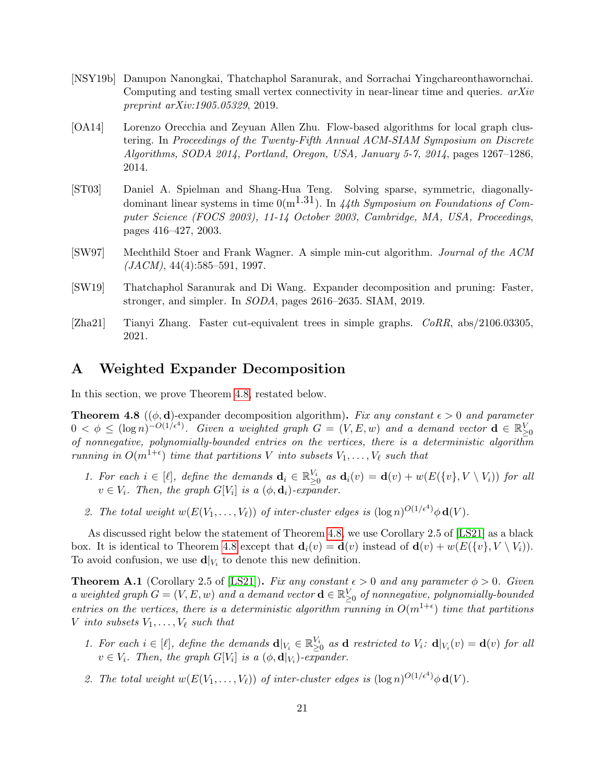- <span id="page-20-4"></span>[NSY19b] Danupon Nanongkai, Thatchaphol Saranurak, and Sorrachai Yingchareonthawornchai. Computing and testing small vertex connectivity in near-linear time and queries. arXiv preprint arXiv:1905.05329, 2019.
- <span id="page-20-3"></span>[OA14] Lorenzo Orecchia and Zeyuan Allen Zhu. Flow-based algorithms for local graph clustering. In Proceedings of the Twenty-Fifth Annual ACM-SIAM Symposium on Discrete Algorithms, SODA 2014, Portland, Oregon, USA, January 5-7, 2014, pages 1267–1286, 2014.
- <span id="page-20-2"></span>[ST03] Daniel A. Spielman and Shang-Hua Teng. Solving sparse, symmetric, diagonallydominant linear systems in time  $0(m^{1.31})$ . In 44th Symposium on Foundations of Computer Science (FOCS 2003), 11-14 October 2003, Cambridge, MA, USA, Proceedings, pages 416–427, 2003.
- <span id="page-20-0"></span>[SW97] Mechthild Stoer and Frank Wagner. A simple min-cut algorithm. Journal of the ACM  $(JACM), 44(4):585-591, 1997.$
- <span id="page-20-6"></span>[SW19] Thatchaphol Saranurak and Di Wang. Expander decomposition and pruning: Faster, stronger, and simpler. In SODA, pages 2616–2635. SIAM, 2019.
- <span id="page-20-1"></span>[Zha21] Tianyi Zhang. Faster cut-equivalent trees in simple graphs. CoRR, abs/2106.03305, 2021.

# <span id="page-20-5"></span>A Weighted Expander Decomposition

In this section, we prove Theorem [4.8,](#page-12-0) restated below.

**Theorem 4.8** (( $\phi$ , **d**)-expander decomposition algorithm). Fix any constant  $\epsilon > 0$  and parameter  $0 < \phi \leq (\log n)^{-O(1/\epsilon^4)}$ . Given a weighted graph  $G = (V, E, w)$  and a demand vector  $\mathbf{d} \in \mathbb{R}_{\geq 0}^V$ of nonnegative, polynomially-bounded entries on the vertices, there is a deterministic algorithm running in  $O(m^{1+\epsilon})$  time that partitions V into subsets  $V_1, \ldots, V_\ell$  such that

- 1. For each  $i \in [\ell],$  define the demands  $\mathbf{d}_i \in \mathbb{R}_{\geq 0}^{V_i}$  as  $\mathbf{d}_i(v) = \mathbf{d}(v) + w(E(\{v\}, V \setminus V_i))$  for all  $v \in V_i$ . Then, the graph  $G[V_i]$  is a  $(\phi, \mathbf{d}_i)$ -expander.
- 2. The total weight  $w(E(V_1, \ldots, V_\ell))$  of inter-cluster edges is  $(\log n)^{O(1/\epsilon^4)} \phi \mathbf{d}(V)$ .

As discussed right below the statement of Theorem [4.8,](#page-12-0) we use Corollary 2.5 of [\[LS21\]](#page-19-10) as a black box. It is identical to Theorem [4.8](#page-12-0) except that  $\mathbf{d}_i(v) = \mathbf{d}(v)$  instead of  $\mathbf{d}(v) + w(E({v}, V \setminus V_i)).$ To avoid confusion, we use  $\mathbf{d}|_{V_i}$  to denote this new definition.

<span id="page-20-7"></span>**Theorem A.1** (Corollary 2.5 of [\[LS21\]](#page-19-10)). Fix any constant  $\epsilon > 0$  and any parameter  $\phi > 0$ . Given a weighted graph  $G = (V, E, w)$  and a demand vector  $\mathbf{d} \in \mathbb{R}_{\geq 0}^V$  of nonnegative, polynomially-bounded entries on the vertices, there is a deterministic algorithm running in  $O(m^{1+\epsilon})$  time that partitions V into subsets  $V_1, \ldots, V_\ell$  such that

- 1. For each  $i \in [\ell],$  define the demands  $\mathbf{d}|_{V_i} \in \mathbb{R}_{\geq 0}^{V_i}$  as  $\mathbf{d}$  restricted to  $V_i$ :  $\mathbf{d}|_{V_i}(v) = \mathbf{d}(v)$  for all  $v \in V_i$ . Then, the graph  $G[V_i]$  is a  $(\phi, \mathbf{d}|_{V_i})$ -expander.
- 2. The total weight  $w(E(V_1, \ldots, V_\ell))$  of inter-cluster edges is  $(\log n)^{O(1/\epsilon^4)} \phi \mathbf{d}(V)$ .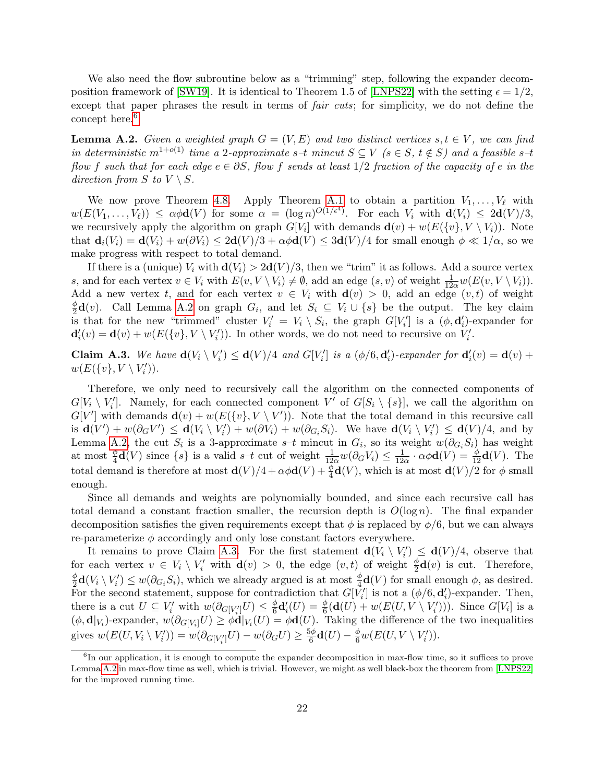We also need the flow subroutine below as a "trimming" step, following the expander decom-position framework of [\[SW19\]](#page-20-6). It is identical to Theorem 1.5 of [\[LNPS22\]](#page-19-12) with the setting  $\epsilon = 1/2$ , except that paper phrases the result in terms of *fair cuts*; for simplicity, we do not define the concept here.<sup>[6](#page-21-0)</sup>

<span id="page-21-1"></span>**Lemma A.2.** Given a weighted graph  $G = (V, E)$  and two distinct vertices  $s, t \in V$ , we can find in deterministic  $m^{1+o(1)}$  time a 2-approximate s–t mincut  $S \subseteq V$  ( $s \in S$ ,  $t \notin S$ ) and a feasible s–t flow f such that for each edge  $e \in \partial S$ , flow f sends at least 1/2 fraction of the capacity of e in the direction from S to  $V \setminus S$ .

We now prove Theorem [4.8.](#page-12-0) Apply Theorem [A.1](#page-20-7) to obtain a partition  $V_1, \ldots, V_\ell$  with  $w(E(V_1,\ldots,V_\ell)) \leq \alpha \phi \mathbf{d}(V)$  for some  $\alpha = (\log n)^{O(1/\epsilon^4)}$ . For each  $V_i$  with  $\mathbf{d}(V_i) \leq 2\mathbf{d}(V)/3$ , we recursively apply the algorithm on graph  $G[V_i]$  with demands  $\mathbf{d}(v) + w(E(\{v\}, V \setminus V_i))$ . Note that  $\mathbf{d}_i(V_i) = \mathbf{d}(V_i) + w(\partial V_i) \leq 2\mathbf{d}(V)/3 + \alpha \phi \mathbf{d}(V) \leq 3\mathbf{d}(V)/4$  for small enough  $\phi \ll 1/\alpha$ , so we make progress with respect to total demand.

If there is a (unique)  $V_i$  with  $\mathbf{d}(V_i) > 2\mathbf{d}(V)/3$ , then we "trim" it as follows. Add a source vertex s, and for each vertex  $v \in V_i$  with  $E(v, V \setminus V_i) \neq \emptyset$ , add an edge  $(s, v)$  of weight  $\frac{1}{12\alpha}w(E(v, V \setminus V_i))$ . Add a new vertex t, and for each vertex  $v \in V_i$  with  $\mathbf{d}(v) > 0$ , add an edge  $(v, t)$  of weight φ  $\frac{\varphi}{2}d(v)$ . Call Lemma [A.2](#page-21-1) on graph  $G_i$ , and let  $S_i \subseteq V_i \cup \{s\}$  be the output. The key claim is that for the new "trimmed" cluster  $V_i' = V_i \setminus S_i$ , the graph  $G[V_i']$  is a  $(\phi, \mathbf{d}'_i)$ -expander for  $\mathbf{d}'_i(v) = \mathbf{d}(v) + w(E(\{v\}, V \setminus V'_i))$ . In other words, we do not need to recursive on  $V'_i$ .

<span id="page-21-2"></span>**Claim A.3.** We have  $d(V_i \setminus V'_i) \le d(V)/4$  and  $G[V'_i]$  is a  $(\phi/6, d'_i)$ -expander for  $d'_i(v) = d(v) + d(v)$  $w(E(\lbrace v \rbrace, V \setminus V'_i)).$ 

Therefore, we only need to recursively call the algorithm on the connected components of  $G[V_i \setminus V'_i]$ . Namely, for each connected component V' of  $G[S_i \setminus \{s\}]$ , we call the algorithm on  $G[V']$  with demands  $\mathbf{d}(v) + w(E(\{v\}, V \setminus V'))$ . Note that the total demand in this recursive call is  $\mathbf{d}(V') + w(\partial_G V') \leq \mathbf{d}(V_i \setminus V'_i) + w(\partial V_i) + w(\partial_{G_i} S_i)$ . We have  $\mathbf{d}(V_i \setminus V'_i) \leq \mathbf{d}(V)/4$ , and by Lemma [A.2,](#page-21-1) the cut  $S_i$  is a 3-approximate s–t mincut in  $G_i$ , so its weight  $w(\partial_{G_i}S_i)$  has weight at most  $\frac{\phi}{4}$ **d**(*V*) since  $\{s\}$  is a valid *s*-*t* cut of weight  $\frac{1}{12\alpha}w(\partial_G V_i) \leq \frac{1}{12}$  $\frac{1}{12\alpha} \cdot \alpha \phi \mathbf{d}(V) = \frac{\phi}{12} \mathbf{d}(V)$ . The total demand is therefore at most  $\mathbf{d}(V)/4 + \alpha \phi \mathbf{d}(V) + \frac{\phi}{4} \mathbf{d}(V)$ , which is at most  $\mathbf{d}(V)/2$  for  $\phi$  small enough.

Since all demands and weights are polynomially bounded, and since each recursive call has total demand a constant fraction smaller, the recursion depth is  $O(\log n)$ . The final expander decomposition satisfies the given requirements except that  $\phi$  is replaced by  $\phi/6$ , but we can always re-parameterize  $\phi$  accordingly and only lose constant factors everywhere.

It remains to prove Claim [A.3.](#page-21-2) For the first statement  $d(V_i \setminus V'_i) \le d(V)/4$ , observe that for each vertex  $v \in V_i \setminus V'_i$  with  $\mathbf{d}(v) > 0$ , the edge  $(v, t)$  of weight  $\frac{\phi}{2}\mathbf{d}(v)$  is cut. Therefore, φ  $\frac{\phi}{2}d(V_i \setminus V'_i) \leq w(\partial_{G_i}S_i)$ , which we already argued is at most  $\frac{\phi}{4}d(V)$  for small enough  $\phi$ , as desired. For the second statement, suppose for contradiction that  $G[\hat{V}_i']$  is not a  $(\phi/6, \mathbf{d}_i')$ -expander. Then, there is a cut  $U \subseteq V'_i$  with  $w(\partial_{G[V'_i]}U) \leq \frac{\phi}{6}$  $\frac{\phi}{6}$ **d**'<sub>i</sub>(U) =  $\frac{\phi}{6}$ (**d**(U) + w(E(U, V \ V'<sub>i</sub>'))). Since G[V<sub>i</sub>] is a  $(\phi, \mathbf{d}|_{V_i})$ -expander,  $w(\partial_{G[V_i]} U) \geq \phi \mathbf{d}|_{V_i}(U) = \phi \mathbf{d}(U)$ . Taking the difference of the two inequalities gives  $w(E(U, V_i \setminus V'_i)) = w(\partial_{G[V'_i]}U) - w(\partial_G U) \ge \frac{5\phi}{6}$  $\frac{6\phi}{6}\mathbf{d}(U)-\frac{\phi}{6}w(E(U,V\setminus V_i')).$ 

<span id="page-21-0"></span><sup>&</sup>lt;sup>6</sup>In our application, it is enough to compute the expander decomposition in max-flow time, so it suffices to prove Lemma [A.2](#page-21-1) in max-flow time as well, which is trivial. However, we might as well black-box the theorem from [\[LNPS22\]](#page-19-12) for the improved running time.